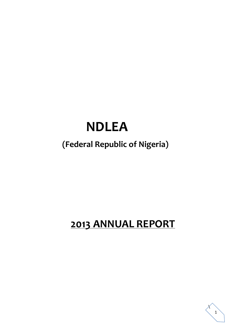# **NDLEA**

# **(Federal Republic of Nigeria)**

# **2013 ANNUAL REPORT**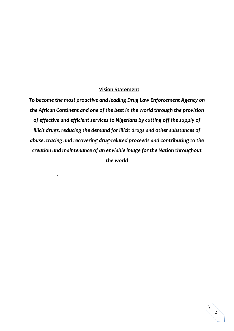#### **Vision Statement**

*To become the most proactive and leading Drug Law Enforcement Agency on the African Continent and one of the best in the world through the provision of effective and efficient services to Nigerians by cutting off the supply of illicit drugs, reducing the demand for illicit drugs and other substances of abuse, tracing and recovering drug-related proceeds and contributing to the creation and maintenance of an enviable image for the Nation throughout the world*

.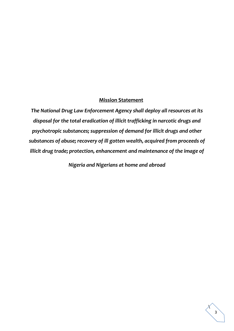#### **Mission Statement**

*The National Drug Law Enforcement Agency shall deploy all resources at its disposal for the total eradication of illicit trafficking in narcotic drugs and psychotropic substances; suppression of demand for illicit drugs and other substances of abuse; recovery of ill gotten wealth, acquired from proceeds of illicit drug trade; protection, enhancement and maintenance of the image of*

*Nigeria and Nigerians at home and abroad*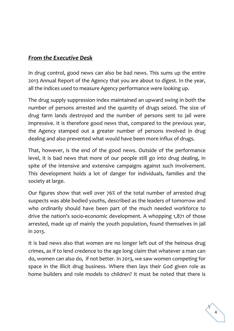## *From the Executive Desk*

In drug control, good news can also be bad news. This sums up the entire 2013 Annual Report of the Agency that you are about to digest. In the year, all the indices used to measure Agency performance were looking up.

The drug supply suppression index maintained an upward swing in both the number of persons arrested and the quantity of drugs seized. The size of drug farm lands destroyed and the number of persons sent to jail were impressive. It is therefore good news that, compared to the previous year, the Agency stamped out a greater number of persons involved in drug dealing and also prevented what would have been more influx of drugs.

That, however, is the end of the good news. Outside of the performance level, it is bad news that more of our people still go into drug dealing, in spite of the intensive and extensive campaigns against such involvement. This development holds a lot of danger for individuals, families and the society at large.

Our figures show that well over 76% of the total number of arrested drug suspects was able bodied youths, described as the leaders of tomorrow and who ordinarily should have been part of the much needed workforce to drive the nation's socio-economic development. A whopping 1,871 of those arrested, made up of mainly the youth population, found themselves in jail in 2013.

It is bad news also that women are no longer left out of the heinous drug crimes, as if to lend credence to the age long claim that whatever a man can do, women can also do, if not better. In 2013, we saw women competing for space in the illicit drug business. Where then lays their God given role as home builders and role models to children? It must be noted that there is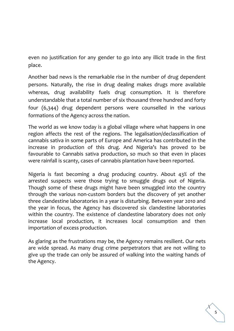even no justification for any gender to go into any illicit trade in the first place.

Another bad news is the remarkable rise in the number of drug dependent persons. Naturally, the rise in drug dealing makes drugs more available whereas, drug availability fuels drug consumption. It is therefore understandable that a total number of six thousand three hundred and forty four (6,344) drug dependent persons were counselled in the various formations of the Agency across the nation.

The world as we know today is a global village where what happens in one region affects the rest of the regions. The legalisation/declassification of cannabis sativa in some parts of Europe and America has contributed in the increase in production of this drug. And Nigeria's has proved to be favourable to Cannabis sativa production, so much so that even in places were rainfall is scanty, cases of cannabis plantation have been reported.

Nigeria is fast becoming a drug producing country. About 43% of the arrested suspects were those trying to smuggle drugs out of Nigeria. Though some of these drugs might have been smuggled into the country through the various non-custom borders but the discovery of yet another three clandestine laboratories in a year is disturbing. Between year 2010 and the year in focus, the Agency has discovered six clandestine laboratories within the country. The existence of clandestine laboratory does not only increase local production, it increases local consumption and then importation of excess production.

As glaring as the frustrations may be, the Agency remains resilient. Our nets are wide spread. As many drug crime perpetrators that are not willing to give up the trade can only be assured of walking into the waiting hands of the Agency.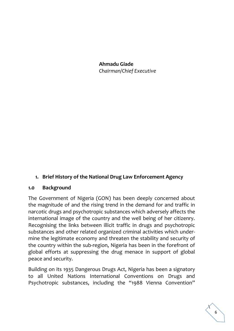**Ahmadu Giade** *Chairman/Chief Executive*

#### **1. Brief History of the National Drug Law Enforcement Agency**

#### **1.0 Background**

The Government of Nigeria (GON) has been deeply concerned about the magnitude of and the rising trend in the demand for and traffic in narcotic drugs and psychotropic substances which adversely affects the international image of the country and the well being of her citizenry. Recognising the links between illicit traffic in drugs and psychotropic substances and other related organized criminal activities which undermine the legitimate economy and threaten the stability and security of the country within the sub-region, Nigeria has been in the forefront of global efforts at suppressing the drug menace in support of global peace and security.

Building on its 1935 Dangerous Drugs Act, Nigeria has been a signatory to all United Nations International Conventions on Drugs and Psychotropic substances, including the "1988 Vienna Convention"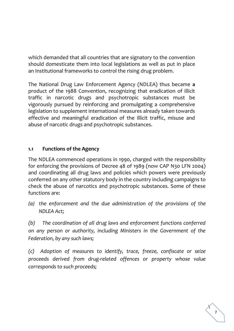which demanded that all countries that are signatory to the convention should domesticate them into local legislations as well as put in place an Institutional frameworks to control the rising drug problem.

The National Drug Law Enforcement Agency (NDLEA) thus became **a** product of the 1988 Convention, recognizing that eradication of illicit traffic in narcotic drugs and psychotropic substances must be vigorously pursued by reinforcing and promulgating a comprehensive legislation to supplement international measures already taken towards effective and meaningful eradication of the illicit traffic, misuse and abuse of narcotic drugs and psychotropic substances.

#### **1.1 Functions of the Agency**

The NDLEA commenced operations in 1990, charged with the responsibility for enforcing the provisions of Decree 48 of 1989 (now CAP N30 LFN 2004) and coordinating all drug laws and policies which powers were previously conferred on any other statutory body in the country including campaigns to check the abuse of narcotics and psychotropic substances. Some of these functions are:

*(a) the enforcement and the due administration of the provisions of the NDLEA Act;*

*(b) The coordination of all drug laws and enforcement functions conferred on any person or authority, including Ministers in the Government of the Federation, by any such laws;* 

*(c) Adoption of measures to identify, trace, freeze, confiscate or seize proceeds derived from drug-related offences or property whose value corresponds to such proceeds;*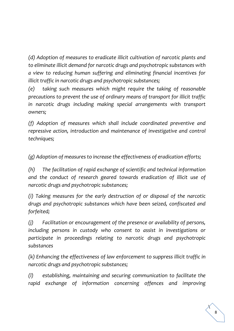*(d) Adoption of measures to eradicate illicit cultivation of narcotic plants and to eliminate illicit demand for narcotic drugs and psychotropic substances with a view to reducing human suffering and eliminating financial incentives for illicit traffic in narcotic drugs and psychotropic substances;*

*(e) taking such measures which might require the taking of reasonable precautions to prevent the use of ordinary means of transport for illicit traffic in narcotic drugs including making special arrangements with transport owners;*

*(f) Adoption of measures which shall include coordinated preventive and repressive action, introduction and maintenance of investigative and control techniques;*

*(g) Adoption of measures to increase the effectiveness of eradication efforts;*

*(h) The facilitation of rapid exchange of scientific and technical information and the conduct of research geared towards eradication of illicit use of narcotic drugs and psychotropic substances;*

*(i) Taking measures for the early destruction of or disposal of the narcotic drugs and psychotropic substances which have been seized, confiscated and forfeited;*

*(j) Facilitation or encouragement of the presence or availability of persons,*  including persons in custody who consent to assist in investigations or *participate in proceedings relating to narcotic drugs and psychotropic substances*

*(k) Enhancing the effectiveness of law enforcement to suppress illicit traffic in narcotic drugs and psychotropic substances;*

*(l) establishing, maintaining and securing communication to facilitate the rapid exchange of information concerning offences and improving*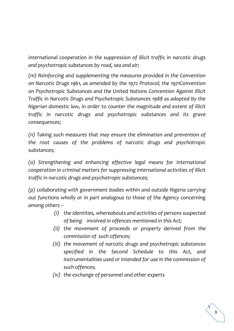*international cooperation in the suppression of illicit traffic in narcotic drugs and psychotropic substances by road, sea and air;*

*(m) Reinforcing and supplementing the measures provided in the Convention on Narcotic Drugs 1961, as amended by the 1972 Protocol; the 1971Convention on Psychotropic Substances and the United Nations Convention Against Illicit Traffic in Narcotic Drugs and Psychotropic Substances 1988 as adopted by the Nigerian domestic law, in order to counter the magnitude and extent of illicit traffic in narcotic drugs and psychotropic substances and its grave consequences;*

*(n) Taking such measures that may ensure the elimination and prevention of the root causes of the problems of narcotic drugs and psychotropic substances;*

*(o) Strengthening and enhancing effective legal means for international cooperation in criminal matters for suppressing international activities of illicit traffic in narcotic drugs and psychotropic substances;*

*(p) collaborating with government bodies within and outside Nigeria carrying out functions wholly or in part analogous to those of the Agency concerning among others –*

- *(i) the identities, whereabouts and activities of persons suspected of being involved in offences mentioned in this Act;*
- *(ii) the movement of proceeds or property derived from the commission of such offences;*
- *(iii) the movement of narcotic drugs and psychotropic substances specified in the Second Schedule to this Act, and instrumentalities used or intended for use in the commission of such offences;*
- *(iv) the exchange of personnel and other experts*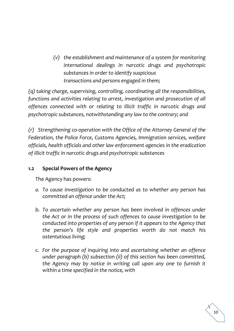*(v) the establishment and maintenance of a system for monitoring international dealings in narcotic drugs and psychotropic substances in order to identify suspicious transactions and persons engaged in them;*

*(q) taking charge, supervising, controlling, coordinating all the responsibilities, functions and activities relating to arrest, investigation and prosecution of all offences connected with or relating to illicit traffic in narcotic drugs and psychotropic substances, notwithstanding any law to the contrary; and*

*(r) Strengthening co-operation with the Office of the Attorney General of the Federation, the Police Force, Customs Agencies, Immigration services, welfare officials, health officials and other law enforcement agencies in the eradication of illicit traffic in narcotic drugs and psychotropic substances* 

#### **1.2 Special Powers of the Agency**

The Agency has powers:

- *a. To cause investigation to be conducted as to whether any person has committed an offence under the Act;*
- *b. To ascertain whether any person has been involved in offences under the Act or in the process of such offences to cause investigation to be conducted into properties of any person if it appears to the Agency that the person's life style and properties worth do not match his ostentatious living;*
- *c. For the purpose of inquiring into and ascertaining whether an offence under paragraph (b) subsection (ii) of this section has been committed, the Agency may by notice in writing call upon any one to furnish it within a time specified in the notice, with*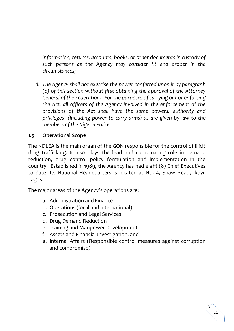*information, returns, accounts, books, or other documents in custody of such persons as the Agency may consider fit and proper in the circumstances;*

*d. The Agency shall not exercise the power conferred upon it by paragraph (b) of this section without first obtaining the approval of the Attorney General of the Federation. For the purposes of carrying out or enforcing the Act, all officers of the Agency involved in the enforcement of the provisions of the Act shall have the same powers, authority and privileges (including power to carry arms) as are given by law to the members of the Nigeria Police.*

#### **1.3 Operational Scope**

The NDLEA is the main organ of the GON responsible for the control of illicit drug trafficking. It also plays the lead and coordinating role in demand reduction, drug control policy formulation and implementation in the country. Established in 1989, the Agency has had eight (8) Chief Executives to date. Its National Headquarters is located at No. 4, Shaw Road, Ikoyi-Lagos.

The major areas of the Agency's operations are:

- a. Administration and Finance
- b. Operations (local and international)
- c. Prosecution and Legal Services
- d. Drug Demand Reduction
- e. Training and Manpower Development
- f. Assets and Financial Investigation, and
- g. Internal Affairs (Responsible control measures against corruption and compromise)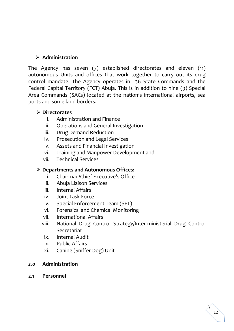#### ➢ **Administration**

The Agency has seven (7) established directorates and eleven (11) autonomous Units and offices that work together to carry out its drug control mandate. The Agency operates in 36 State Commands and the Federal Capital Territory (FCT) Abuja. This is in addition to nine (9) Special Area Commands (SACs) located at the nation's international airports, sea ports and some land borders.

#### ➢ **Directorates**

- i. Administration and Finance
- ii. Operations and General Investigation
- iii. Drug Demand Reduction
- iv. Prosecution and Legal Services
- v. Assets and Financial Investigation
- vi. Training and Manpower Development and
- vii. Technical Services

#### ➢ **Departments and Autonomous Offices:**

- i. Chairman/Chief Executive's Office
- ii. Abuja Liaison Services
- iii. Internal Affairs
- iv. Joint Task Force
- v. Special Enforcement Team (SET)
- vi. Forensics and Chemical Monitoring
- vii. International Affairs
- viii. National Drug Control Strategy/Inter-ministerial Drug Control Secretariat
	- ix. Internal Audit
	- x. Public Affairs
- xi. Canine (Sniffer Dog) Unit

#### *2.0* **Administration**

**2.1 Personnel**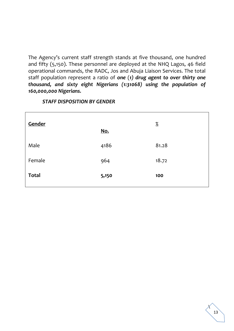The Agency's current staff strength stands at five thousand, one hundred and fifty (5,150). These personnel are deployed at the NHQ Lagos, 46 field operational commands, the RADC, Jos and Abuja Liaison Services. The total staff population represent a ratio of *one* (*1) drug agent to over thirty one thousand, and sixty eight Nigerians (1:31068) using the population of 160,000,000 Nigerians.* 

| Gender       | No.   | $\frac{\%}{\%}$ |
|--------------|-------|-----------------|
| Male         | 4186  | 81.28           |
| Female       | 964   | 18.72           |
| <b>Total</b> | 5,150 | 100             |
|              |       |                 |

#### *STAFF DISPOSITION BY GENDER*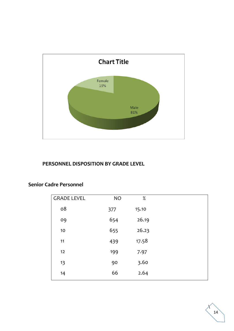

#### **PERSONNEL DISPOSITION BY GRADE LEVEL**

| <b>GRADE LEVEL</b> | <b>NO</b> | $\%$  |  |
|--------------------|-----------|-------|--|
| 08                 | 377       | 15.10 |  |
| 09                 | 654       | 26.19 |  |
| 10                 | 655       | 26.23 |  |
| 11                 | 439       | 17.58 |  |
| 12                 | 199       | 7.97  |  |
| 13                 | 90        | 3.60  |  |
| 14                 | 66        | 2.64  |  |
|                    |           |       |  |

#### **Senior Cadre Personnel**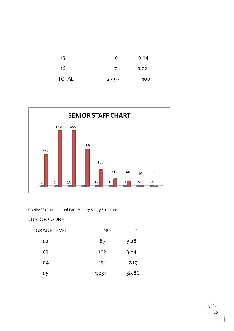| 15           | 10    | 0.04 |  |
|--------------|-------|------|--|
| 16           |       | 0.02 |  |
| <b>TOTAL</b> | 2,497 | 100  |  |



#### CONPASS=Consolidated Para-Military Salary Structure

#### JUNIOR CADRE

| <b>GRADE LEVEL</b> | <b>NO</b> | $\%$  |
|--------------------|-----------|-------|
| 02                 | 87        | 3.28  |
| 03                 | 102       | 3.84  |
| 04                 | 191       | 7.19  |
| 05                 | 1,031     | 38.86 |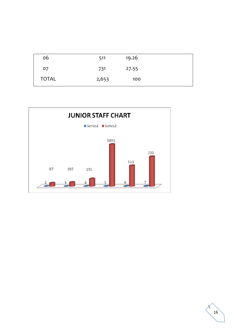| 06           | 511   | 19.26 |  |
|--------------|-------|-------|--|
| 07           | 731   | 27.55 |  |
| <b>TOTAL</b> | 2,653 | 100   |  |



 $\lambda$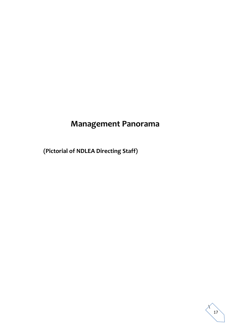# **Management Panorama**

 **(Pictorial of NDLEA Directing Staff)**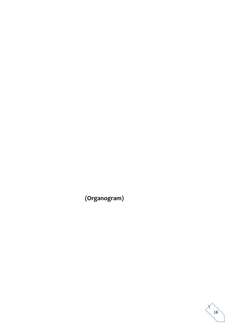**(Organogram)**

 $\lambda$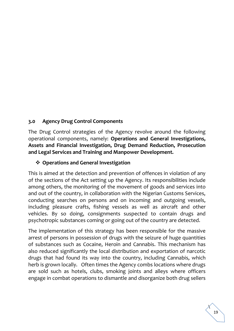#### **3.0 Agency Drug Control Components**

The Drug Control strategies of the Agency revolve around the following operational components, namely: **Operations and General Investigations, Assets and Financial Investigation, Drug Demand Reduction, Prosecution and Legal Services and Training and Manpower Development.** 

#### ❖ **Operations and General Investigation**

This is aimed at the detection and prevention of offences in violation of any of the sections of the Act setting up the Agency. Its responsibilities include among others, the monitoring of the movement of goods and services into and out of the country, in collaboration with the Nigerian Customs Services, conducting searches on persons and on incoming and outgoing vessels, including pleasure crafts, fishing vessels as well as aircraft and other vehicles. By so doing, consignments suspected to contain drugs and psychotropic substances coming or going out of the country are detected.

The implementation of this strategy has been responsible for the massive arrest of persons in possession of drugs with the seizure of huge quantities of substances such as Cocaine, Heroin and Cannabis. This mechanism has also reduced significantly the local distribution and exportation of narcotic drugs that had found its way into the country, including Cannabis, which herb is grown locally. Often times the Agency combs locations where drugs are sold such as hotels, clubs, smoking joints and alleys where officers engage in combat operations to dismantle and disorganize both drug sellers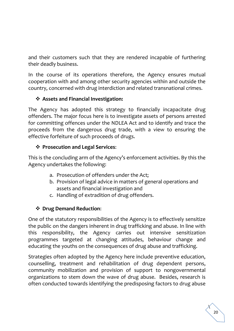and their customers such that they are rendered incapable of furthering their deadly business.

In the course of its operations therefore, the Agency ensures mutual cooperation with and among other security agencies within and outside the country, concerned with drug interdiction and related transnational crimes.

#### ❖ **Assets and Financial Investigation:**

The Agency has adopted this strategy to financially incapacitate drug offenders. The major focus here is to investigate assets of persons arrested for committing offences under the NDLEA Act and to identify and trace the proceeds from the dangerous drug trade, with a view to ensuring the effective forfeiture of such proceeds of drugs.

#### ❖ **Prosecution and Legal Services**:

This is the concluding arm of the Agency's enforcement activities. By this the Agency undertakes the following:

- a. Prosecution of offenders under the Act;
- b. Provision of legal advice in matters of general operations and assets and financial investigation and
- c. Handling of extradition of drug offenders.

## ❖ **Drug Demand Reduction**:

One of the statutory responsibilities of the Agency is to effectively sensitize the public on the dangers inherent in drug trafficking and abuse. In line with this responsibility, the Agency carries out intensive sensitization programmes targeted at changing attitudes, behaviour change and educating the youths on the consequences of drug abuse and trafficking.

Strategies often adopted by the Agency here include preventive education, counselling, treatment and rehabilitation of drug dependent persons, community mobilization and provision of support to nongovernmental organizations to stem down the wave of drug abuse. Besides, research is often conducted towards identifying the predisposing factors to drug abuse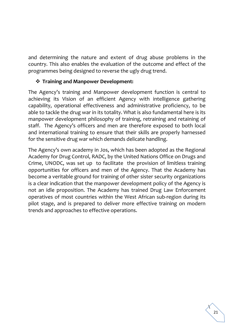and determining the nature and extent of drug abuse problems in the country. This also enables the evaluation of the outcome and effect of the programmes being designed to reverse the ugly drug trend.

#### ❖ **Training and Manpower Development:**

The Agency's training and Manpower development function is central to achieving its Vision of an efficient Agency with intelligence gathering capability, operational effectiveness and administrative proficiency, to be able to tackle the drug war in its totality. What is also fundamental here is its manpower development philosophy of training, retraining and retaining of staff. The Agency's officers and men are therefore exposed to both local and international training to ensure that their skills are properly harnessed for the sensitive drug war which demands delicate handling.

The Agency's own academy in Jos, which has been adopted as the Regional Academy for Drug Control, RADC, by the United Nations Office on Drugs and Crime, UNODC, was set up to facilitate the provision of limitless training opportunities for officers and men of the Agency. That the Academy has become a veritable ground for training of other sister security organizations is a clear indication that the manpower development policy of the Agency is not an idle proposition. The Academy has trained Drug Law Enforcement operatives of most countries within the West African sub-region during its pilot stage, and is prepared to deliver more effective training on modern trends and approaches to effective operations.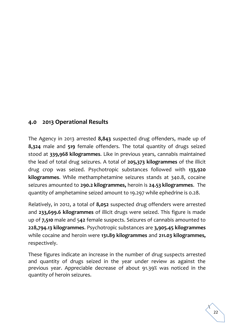### **4.0 2013 Operational Results**

The Agency in 2013 arrested **8,843** suspected drug offenders, made up of **8,324** male and **519** female offenders. The total quantity of drugs seized stood at **339,968 kilogrammes**. Like in previous years, cannabis maintained the lead of total drug seizures. A total of **205,373 kilogrammes** of the illicit drug crop was seized. Psychotropic substances followed with **133,920 kilogrammes**. While methamphetamine seizures stands at 340.8, cocaine seizures amounted to **290.2 kilogrammes,** heroin is **24.53 kilogrammes**. The quantity of amphetamine seized amount to 19.297 while ephedrine is 0.28.

Relatively, in 2012, a total of **8,052** suspected drug offenders were arrested and **233,699.6 kilogrammes** of illicit drugs were seized. This figure is made up of **7,510** male and 5**42** female suspects. Seizures of cannabis amounted to **228,794.13 kilogrammes**. Psychotropic substances are **3,905.45 kilogrammes** while cocaine and heroin were **131.89 kilogrammes** and **211.03 kilogrammes,**  respectively.

These figures indicate an increase in the number of drug suspects arrested and quantity of drugs seized in the year under review as against the previous year. Appreciable decrease of about 91.39% was noticed in the quantity of heroin seizures.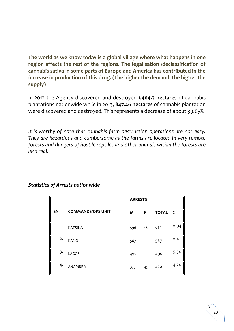**The world as we know today is a global village where what happens in one region affects the rest of the regions. The legalisation /declassification of cannabis sativa in some parts of Europe and America has contributed in the increase in production of this drug. (The higher the demand, the higher the supply)** 

In 2012 the Agency discovered and destroyed **1,404.3 hectares** of cannabis plantations nationwide while in 2013, **847.46 hectares** of cannabis plantation were discovered and destroyed. This represents a decrease of about 39.65%.

*It is worthy of note that cannabis farm destruction operations are not easy. They are hazardous and cumbersome as the farms are located in very remote forests and dangers of hostile reptiles and other animals within the forests are also real.*

|                         |                          | <b>ARRESTS</b> |    |              |      |
|-------------------------|--------------------------|----------------|----|--------------|------|
| SN                      | <b>COMMANDS/OPS UNIT</b> | M              | F  | <b>TOTAL</b> | $\%$ |
| 1.                      | <b>KATSINA</b>           | 596            | 18 | 614          | 6.94 |
| 2.                      | <b>KANO</b>              | 567            |    | 567          | 6.41 |
| $\overline{\mathbf{3}}$ | LAGOS                    | 490            |    | 490          | 5.54 |
| 4.                      | ANAMBRA                  | 375            | 45 | 420          | 4.74 |

#### *Statistics of Arrests nationwide*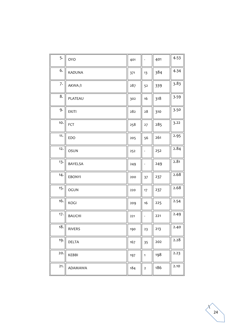| 5.  | <b>OYO</b>     | 401 |                              | 401 | 4.53 |
|-----|----------------|-----|------------------------------|-----|------|
| 6.  | KADUNA         | 371 | 13                           | 384 | 4.34 |
| 7.  | AKWA/I         | 287 | 52                           | 339 | 3.83 |
| 8.  | PLATEAU        | 302 | 16                           | 318 | 3.59 |
| 9.  | <b>EKITI</b>   | 282 | $28\,$                       | 310 | 3.50 |
| 10. | FCT            | 258 | 27                           | 285 | 3.22 |
| 11. | EDO            | 205 | 56                           | 261 | 2.95 |
| 12. | <b>OSUN</b>    | 252 |                              | 252 | 2.84 |
| 13. | <b>BAYELSA</b> | 249 | $\qquad \qquad \blacksquare$ | 249 | 2.81 |
| 14. | <b>EBONYI</b>  | 200 | 37                           | 237 | 2.68 |
| 15. | <b>OGUN</b>    | 220 | 17                           | 237 | 2.68 |
| 16. | KOGI           | 209 | 16                           | 225 | 2.54 |
| 17. | <b>BAUCHI</b>  | 221 | $\qquad \qquad \blacksquare$ | 221 | 2.49 |
| 18. | RIVERS         | 190 | 23                           | 213 | 2.40 |
| 19. | DELTA          | 167 | 35                           | 202 | 2.28 |
| 20. | KEBBI          | 197 | $\mathbf{1}$                 | 198 | 2.23 |
| 21. | ADAMAWA        | 184 | $\mathbf{2}$                 | 186 | 2.10 |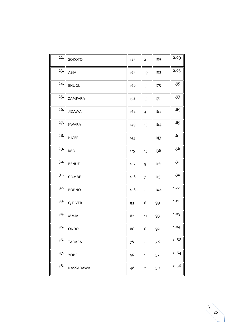| 22. | SOKOTO                    | 183 | $\overline{2}$               | 185 | 2.09 |
|-----|---------------------------|-----|------------------------------|-----|------|
| 23. | ABIA                      | 163 | 19                           | 182 | 2.05 |
| 24. | ENUGU                     | 160 | 13                           | 173 | 1.95 |
| 25. | ZAMFARA                   | 158 | 13                           | 171 | 1.93 |
| 26. | <b>JIGAWA</b>             | 164 | $\overline{4}$               | 168 | 1.89 |
| 27. | KWARA                     | 149 | 15                           | 164 | 1.85 |
| 28. | NIGER                     | 143 |                              | 143 | 1.61 |
| 29. | <b>IMO</b>                | 125 | 13                           | 138 | 1.56 |
| 30. | <b>BENUE</b>              | 107 | 9                            | 116 | 1.31 |
| 31. | GOMBE                     | 108 | $\overline{7}$               | 115 | 1.30 |
| 32. | <b>BORNO</b>              | 108 | $\qquad \qquad \blacksquare$ | 108 | 1.22 |
| 33. | C/RIVER                   | 93  | 6                            | 99  | 1.11 |
| 34. | <b>MMIA</b>               | 82  | 11                           | 93  | 1.05 |
|     | $35 \cdot \parallel$ ONDO | 86  | 6                            | 92  | 1.04 |
| 36. | <b>TARABA</b>             | 78  |                              | 78  | 0.88 |
| 37. | YOBE                      | 56  | $\mathbf{1}$                 | 57  | 0.64 |
| 38. | NASSARAWA                 | 48  | $\mathsf{2}$                 | 50  | 0.56 |

 $\lambda$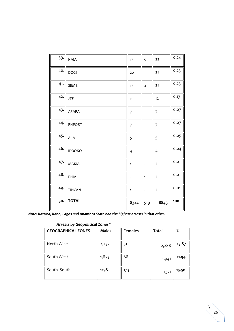| 39. | <b>NAIA</b>   | 17             | 5                            | 22             | 0.24 |
|-----|---------------|----------------|------------------------------|----------------|------|
| 40. | <b>DOGI</b>   | 20             | $\mathbf{1}$                 | $21$           | 0.23 |
| 41. | <b>SEME</b>   | 17             | $\overline{4}$               | 21             | 0.23 |
| 42. | <b>JTF</b>    | 11             | $\mathbf{1}$                 | 12             | 0.13 |
| 43. | APAPA         | $\overline{7}$ |                              | $\overline{7}$ | 0.07 |
| 44. | PHPORT        | $\overline{7}$ | $\overline{a}$               | $\overline{7}$ | 0.07 |
| 45. | AllA          | 5              | $\overline{a}$               | 5              | 0.05 |
| 46. | <b>IDROKO</b> | 4              | $\qquad \qquad \blacksquare$ | $\overline{4}$ | 0.04 |
| 47. | <b>MAKIA</b>  | $\mathbf{1}$   | $\overline{\phantom{a}}$     | $\mathbf{1}$   | 0.01 |
| 48. | PHIA          |                | $\mathbf{1}$                 | $\mathbf{1}$   | 0.01 |
| 49. | <b>TINCAN</b> | $\mathbf{1}$   |                              | $\mathbf{1}$   | 0.01 |
| 50. | <b>TOTAL</b>  | 8324           | 519                          | 8843           | 100  |

*Note: Katsina, Kano, Lagos and Anambra State had the highest arrests in that other.*

#### *Arrests by Geopolitical Zones\**

| <b>GEOGRAPHICAL ZONES</b> | <b>Males</b> | <b>Females</b> | <b>Total</b> | %     |
|---------------------------|--------------|----------------|--------------|-------|
| North West                | 2,237        | 51             | 2,288        | 25.87 |
| South West                | 1,873        | 68             | 1,941        | 21.94 |
| South-South               | 1198         | 173            | 1371         | 15.50 |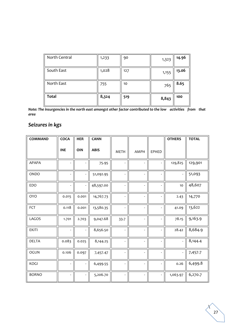| North Central | 1,233 | 90  | 1,323 | 14.96 |
|---------------|-------|-----|-------|-------|
| South East    | 1,028 | 127 | 1,155 | 13.06 |
| North East    | 755   | 10  | 765   | 8.65  |
| <b>Total</b>  | 8,324 | 519 | 8,843 | 100   |

*Note: The insurgencies in the north east amongst other factor contributed to the low activities from that area*

# *Seizures in kgs*

| <b>COMMAND</b> | COCA                     | <b>HER</b>               | <b>CANN</b> |                          |                          |                              | <b>OTHERS</b> | <b>TOTAL</b> |
|----------------|--------------------------|--------------------------|-------------|--------------------------|--------------------------|------------------------------|---------------|--------------|
|                | <b>INE</b>               | <b>OIN</b>               | <b>ABIS</b> | <b>METH</b>              | AMPH                     | EPHED                        |               |              |
| APAPA          | $\overline{\phantom{a}}$ | $\overline{\phantom{m}}$ | 75.95       | $\overline{\phantom{a}}$ |                          | $\qquad \qquad \blacksquare$ | 129,825       | 129,901      |
| ONDO           | $\blacksquare$           | $\overline{\phantom{a}}$ | 51,092.95   | $\Box$                   | $\overline{\phantom{a}}$ |                              |               | 51,093       |
| EDO            | $\overline{\phantom{a}}$ | $\overline{\phantom{a}}$ | 48,597.00   | $\overline{\phantom{a}}$ | $\overline{\phantom{a}}$ | $\frac{1}{2}$                | $10$          | 48,607       |
| <b>OYO</b>     | 0.015                    | 0.001                    | 14,767.73   | $\Box$                   | $\overline{\phantom{a}}$ | $\overline{\phantom{a}}$     | 2.43          | 14,770       |
| FCT            | 0.118                    | 0.001                    | 13,580.35   | $\overline{\phantom{a}}$ | $\overline{\phantom{a}}$ | L,                           | 41.09         | 13,622       |
| LAGOS          | 1.701                    | 2.703                    | 9,047.68    | 33.7                     | $\overline{\phantom{a}}$ | ÷,                           | 78.15         | 9,163.9      |
| <b>EKITI</b>   | $\overline{\phantom{a}}$ | $\blacksquare$           | 8,656.50    | $\overline{\phantom{a}}$ | $\blacksquare$           | $\blacksquare$               | 28.42         | 8,684.9      |
| <b>DELTA</b>   | 0.083                    | 0.025                    | 8,144.25    | $\overline{\phantom{a}}$ | $\blacksquare$           | $\overline{a}$               |               | 8,144.4      |
| <b>OGUN</b>    | 0.106                    | 0.097                    | 7,457.47    | $\overline{\phantom{a}}$ | $\blacksquare$           | $\overline{a}$               |               | 7,457.7      |
| KOGI           | $\overline{\phantom{a}}$ | $\overline{\phantom{a}}$ | 6,499.55    | $\overline{\phantom{a}}$ | $\blacksquare$           | $\frac{1}{2}$                | 0.26          | 6,499.8      |
| <b>BORNO</b>   | $\overline{\phantom{a}}$ | $\overline{\phantom{a}}$ | 5,206.70    | $\overline{\phantom{a}}$ |                          |                              | 1,063.97      | 6,270.7      |

 $\Delta$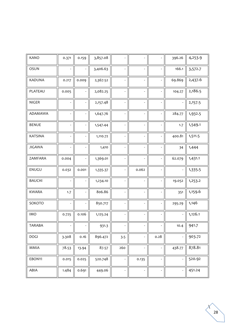| <b>KANO</b>    | 0.371                    | 0.159                        | 3,857.08 |                          |                          |                              | 396.26         | 4,253.9 |
|----------------|--------------------------|------------------------------|----------|--------------------------|--------------------------|------------------------------|----------------|---------|
| <b>OSUN</b>    |                          | $\frac{1}{2}$                | 3,406.63 | $\Box$                   | $\overline{\phantom{a}}$ | ٠                            | 166.1          | 3,572.7 |
| <b>KADUNA</b>  | 0.217                    | 0.009                        | 2,367.52 | $\overline{\phantom{a}}$ | $\overline{\phantom{a}}$ | $\overline{a}$               | 69.869         | 2,437.6 |
| PLATEAU        | 0.005                    | $\overline{\phantom{a}}$     | 2,082.25 | $\overline{\phantom{a}}$ | $\overline{\phantom{a}}$ | $\qquad \qquad \blacksquare$ | 104.27         | 2,186.5 |
| NIGER          | $\overline{\phantom{a}}$ | $\qquad \qquad \blacksquare$ | 2,157.48 | $\overline{\phantom{a}}$ | $\overline{\phantom{a}}$ |                              |                | 2,157.5 |
| ADAMAWA        | $\overline{\phantom{a}}$ | $\overline{\phantom{a}}$     | 1,647.76 | $\overline{\phantom{a}}$ | $\overline{\phantom{a}}$ | $\overline{\phantom{0}}$     | 284.77         | 1,932.5 |
| <b>BENUE</b>   | $\blacksquare$           | $\overline{\phantom{a}}$     | 1,547.44 | $\overline{\phantom{a}}$ | $\overline{\phantom{a}}$ | $\overline{a}$               | 1.7            | 1,549.1 |
| <b>KATSINA</b> | $\bar{\phantom{a}}$      | $\overline{\phantom{a}}$     | 1,110.72 | $\Box$                   | $\blacksquare$           | ÷,                           | 400.81         | 1,511.5 |
| <b>JIGAWA</b>  | $\blacksquare$           | $\overline{\phantom{m}}$     | 1,410    | $\overline{\phantom{a}}$ | $\overline{\phantom{a}}$ | $\qquad \qquad \blacksquare$ | 34             | 1,444   |
| ZAMFARA        | 0.004                    | $\overline{\phantom{m}}$     | 1,369.01 | $\overline{\phantom{a}}$ |                          |                              | 62.079         | 1,431.1 |
| ENUGU          | 0.032                    | 0.001                        | 1,335.37 | $\overline{\phantom{a}}$ | 0.062                    | L                            |                | 1,335.5 |
| <b>BAUCHI</b>  | $\omega$                 | -                            | 1,234.10 | $\overline{\phantom{a}}$ |                          | $\qquad \qquad \blacksquare$ | 19.052         | 1,253.2 |
| <b>KWARA</b>   | 1.7                      | $\overline{\phantom{a}}$     | 806.86   | $\overline{\phantom{a}}$ | $\overline{a}$           |                              | 351            | 1,159.6 |
| SOKOTO         | $\omega$                 | $\overline{\phantom{a}}$     | 850.717  | $\omega$                 | $\overline{\phantom{a}}$ | $\qquad \qquad \blacksquare$ | 295.29         | 1,146   |
| <b>IMO</b>     | 0.725                    | 0.106                        | 1,125.24 | $\Box$                   | $\overline{\phantom{a}}$ | $\frac{1}{2}$                | $\frac{1}{2}$  | 1,126.1 |
| <b>TARABA</b>  |                          |                              | 931.3    | $\overline{a}$           |                          |                              | 10.4           | 941.7   |
| <b>DOGI</b>    | 3.308                    | 0.16                         | 896.472  | 3.5                      | $\overline{a}$           | 0.28                         |                | 903.72  |
| MMIA           | 78.53                    | 13.94                        | 87.57    | 260                      | $\overline{\phantom{a}}$ | -                            | 438.77         | 878.81  |
| EBONYI         | 0.015                    | 0.025                        | 520.748  | $\overline{\phantom{a}}$ | 0.135                    | $\qquad \qquad \blacksquare$ | $\blacksquare$ | 520.92  |
| ABIA           | 1.484                    | 0.691                        | 449.06   | $\overline{\phantom{a}}$ | $\overline{\phantom{a}}$ | $\qquad \qquad \blacksquare$ | $\blacksquare$ | 451.24  |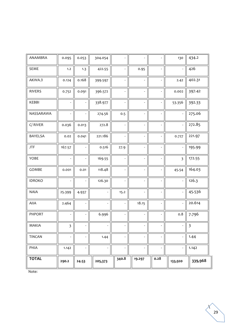| ANAMBRA       | 0.095                   | 0.053                    | 304.054                  |                          |                          |                          | 130                      | 434.2                   |
|---------------|-------------------------|--------------------------|--------------------------|--------------------------|--------------------------|--------------------------|--------------------------|-------------------------|
| <b>SEME</b>   | 1.2                     | 1.3                      | 422.55                   | $\overline{\phantom{a}}$ | 0.95                     | $\overline{\phantom{a}}$ | $\overline{\phantom{a}}$ | 426                     |
| AKWA/I        | 0.124                   | 0.168                    | 399.597                  | $\overline{\phantom{a}}$ |                          | $\omega$                 | 2.42                     | 402.31                  |
| <b>RIVERS</b> | 0.752                   | 0.091                    | 396.572                  | $\overline{\phantom{a}}$ | $\overline{\phantom{a}}$ | $\blacksquare$           | 0.002                    | 397.42                  |
| KEBBI         |                         |                          | 338.977                  |                          |                          | $\overline{\phantom{a}}$ | 53.356                   | 392.33                  |
| NASSARAWA     |                         |                          | 274.56                   | 0.5                      | $\overline{\phantom{a}}$ | $\overline{\phantom{a}}$ |                          | 275.06                  |
| C/RIVER       | 0.036                   | 0.013                    | 272.8                    | $\overline{\phantom{a}}$ | $\overline{\phantom{a}}$ | $\omega$                 | $\overline{\phantom{a}}$ | 272.85                  |
| BAYELSA       | 0.02                    | 0.041                    | 221.186                  | $\overline{\phantom{a}}$ | $\overline{\phantom{a}}$ | $\omega$                 | 0.727                    | 221.97                  |
| JTF           | 167.57                  |                          | 0.516                    | 27.9                     | $\overline{\phantom{a}}$ | $\overline{\phantom{a}}$ | $\overline{\phantom{a}}$ | 195.99                  |
| YOBE          |                         |                          | 169.55                   | $\overline{\phantom{a}}$ | $\overline{\phantom{a}}$ | $\overline{\phantom{a}}$ | $\overline{\mathbf{3}}$  | 172.55                  |
| GOMBE         | 0.001                   | 0.01                     | 118.48                   | $\overline{\phantom{a}}$ | $\overline{\phantom{a}}$ | $\omega$                 | 45.54                    | 164.03                  |
| <b>IDROKO</b> |                         |                          | 126.30                   | $\overline{\phantom{a}}$ | $\overline{\phantom{a}}$ | $\blacksquare$           | $\overline{\phantom{a}}$ | 126.3                   |
| <b>NAIA</b>   | 25.399                  | 4.937                    |                          | 15.2                     |                          | $\overline{\phantom{a}}$ |                          | 45.536                  |
| AIIA          | 2.464                   | $\overline{\phantom{a}}$ |                          |                          | 18.15                    | $\omega$                 | $\overline{\phantom{a}}$ | 20.614                  |
| PHPORT        |                         |                          | 6.996                    | $\overline{\phantom{a}}$ | $\overline{\phantom{a}}$ | $\blacksquare$           | 0.8                      | 7.796                   |
| MAKIA         | $\overline{\mathbf{3}}$ |                          |                          |                          |                          |                          |                          | $\overline{\mathbf{3}}$ |
| TINCAN        |                         |                          | 1.44                     |                          |                          | $\overline{a}$           | $\overline{\phantom{a}}$ | 1.44                    |
| PHIA          | 1.142                   | $\overline{\phantom{a}}$ | $\overline{\phantom{a}}$ |                          | $\overline{\phantom{a}}$ | $\blacksquare$           | $\blacksquare$           | 1.142                   |
| <b>TOTAL</b>  | 290.2                   | 24.53                    | 205,373                  | 340.8                    | 19.297                   | 0.28                     | 133,920                  | 339,968                 |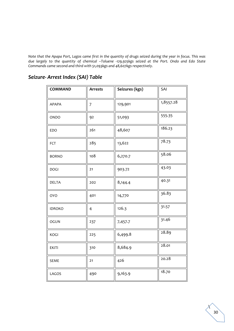*Note that the Apapa Port, Lagos came first in the quantity of drugs seized during the year in focus. This was due largely to the quantity of chemical –Toluene -129,925kgs seized at the Port. Ondo and Edo State Commands came second and third with 51,093kgs and 48,607kgs respectively.*

## *Seizure- Arrest Index (SAI) Table*

| <b>COMMAND</b> | <b>Arrests</b> | Seizures (kgs) | SAI       |
|----------------|----------------|----------------|-----------|
| <b>APAPA</b>   | 7              | 129,901        | 1,8557.28 |
| ONDO           | 92             | 51,093         | 555-35    |
| EDO            | 261            | 48,607         | 186.23    |
| FCT            | 285            | 13,622         | 78.73     |
| <b>BORNO</b>   | 108            | 6,270.7        | 58.06     |
| <b>DOGI</b>    | 21             | 903.72         | 43.03     |
| <b>DELTA</b>   | 202            | 8,144.4        | 40.31     |
| <b>OYO</b>     | 401            | 14,770         | 36.83     |
| <b>IDROKO</b>  | 4              | 126.3          | 31.57     |
| <b>OGUN</b>    | 237            | 7,457.7        | 31.46     |
| KOGI           | 225            | 6,499.8        | 28.89     |
| <b>EKITI</b>   | 310            | 8,684.9        | 28.01     |
| <b>SEME</b>    | 21             | 426            | 20.28     |
| LAGOS          | 490            | 9,163.9        | 18.70     |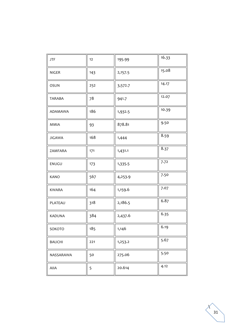| JTF           | 12          | 195.99  | 16.33 |
|---------------|-------------|---------|-------|
| <b>NIGER</b>  | 143         | 2,157.5 | 15.08 |
| OSUN          | 252         | 3,572.7 | 14.17 |
| TARABA        | 78          | 941.7   | 12.07 |
| ADAMAWA       | 186         | 1,932.5 | 10.39 |
| MMIA          | 93          | 878.81  | 9.50  |
| <b>JIGAWA</b> | 168         | 1,444   | 8.59  |
| ZAMFARA       | 171         | 1,431.1 | 8.37  |
| ENUGU         | 173         | 1,335.5 | 7.72  |
| <b>KANO</b>   | 567         | 4,253.9 | 7.50  |
| <b>KWARA</b>  | 164         | 1,159.6 | 7.07  |
| PLATEAU       | 318         | 2,186.5 | 6.87  |
| KADUNA        | 384         | 2,437.6 | 6.35  |
| SOKOTO        | $\vert$ 185 | 1,146   | 6.19  |
| <b>BAUCHI</b> | 221         | 1,253.2 | 5.67  |
| NASSARAWA     | 50          | 275.06  | 5.50  |
| AllA          | 5           | 20.614  | 4.12  |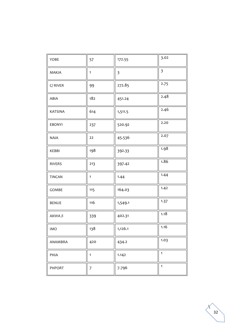| YOBE           | 57             | 172.55  | 3.02                    |
|----------------|----------------|---------|-------------------------|
| MAKIA          | $\mathbf{1}$   | 3       | $\overline{\mathbf{3}}$ |
| C/RIVER        | 99             | 272.85  | 2.75                    |
| ABIA           | 182            | 451.24  | 2.48                    |
| <b>KATSINA</b> | 614            | 1,511.5 | 2.46                    |
| <b>EBONYI</b>  | 237            | 520.92  | 2.20                    |
| <b>NAIA</b>    | 22             | 45.536  | 2.07                    |
| KEBBI          | 198            | 392.33  | 1.98                    |
| <b>RIVERS</b>  | 213            | 397.42  | 1.86                    |
| <b>TINCAN</b>  | 1              | 1.44    | 1.44                    |
| GOMBE          | 115            | 164.03  | 1.42                    |
| <b>BENUE</b>   | 116            | 1,549.1 | 1.37                    |
| AKWA/I         | 339            | 402.31  | 1.18                    |
| <b>IMO</b>     | 138            | 1,126.1 | 1.16                    |
| ANAMBRA        | 420            | 434.2   | 1.03                    |
| PHIA           | $\mathbf{1}$   | 1.142   | $\mathbf{1}$            |
| PHPORT         | $\overline{7}$ | 7.796   | $\mathbf{1}$            |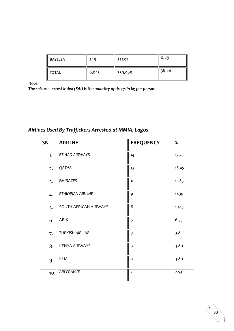| <b>BAYELSA</b> | 249   | 221.97  | 0.89  |
|----------------|-------|---------|-------|
| TOTAL          | 8,843 | 339,968 | 38.44 |

*The seizure –arrest index (SAI) is the quantity of drugs in kg per person*

# *Airlines Used By Traffickers Arrested at MMIA, Lagos*

| <b>SN</b>               | <b>AIRLINE</b>           | <b>FREQUENCY</b>        | $\%$  |
|-------------------------|--------------------------|-------------------------|-------|
| 1.                      | ETIHAD AIRWAYS           | 14                      | 17.72 |
| 2.                      | QATAR                    | 13                      | 16.45 |
| $\overline{\mathbf{3}}$ | <b>EMIRATES</b>          | 10                      | 12.65 |
| 4.                      | <b>ETHIOPIAN AIRLINE</b> | 9                       | 11.39 |
| 5.                      | SOUTH AFRICAN AIRWAYS    | 8                       | 10.13 |
| 6.                      | <b>ARIK</b>              | 5                       | 6.33  |
| 7.                      | <b>TURKISH AIRLINE</b>   | $\overline{\mathbf{3}}$ | 3.80  |
| 8.                      | <b>KENYA AIRWAYS</b>     | $\overline{\mathbf{3}}$ | 3.80  |
| 9.                      | <b>KLM</b>               | $\overline{\mathbf{3}}$ | 3.80  |
| 10.                     | <b>AIR FRANCE</b>        | $\mathbf 2$             | 2.53  |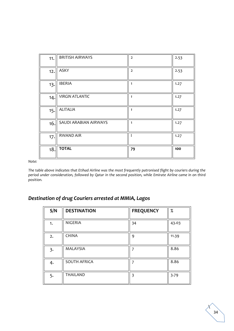| 11. | <b>BRITISH AIRWAYS</b> | $\overline{2}$ | 2.53 |
|-----|------------------------|----------------|------|
| 12. | <b>ASKY</b>            | $\overline{2}$ | 2.53 |
| 13. | <b>IBERIA</b>          | 1              | 1.27 |
| 14. | <b>VIRGIN ATLANTIC</b> | 1              | 1.27 |
| 15. | <b>ALITALIA</b>        | $\mathbf{1}$   | 1.27 |
| 16. | SAUDI ARABIAN AIRWAYS  | $\mathbf{1}$   | 1.27 |
| 17. | <b>RWAND AIR</b>       |                | 1.27 |
| 18. | <b>TOTAL</b>           | 79             | 100  |

*The table above indicates that Etihad Airline was the most frequently patronised flight by couriers during the period under consideration, followed by Qatar in the second position, while Emirate Airline came in on third position.* 

# *Destination of drug Couriers arrested at MMIA, Lagos*

| S/N | <b>DESTINATION</b>  | <b>FREQUENCY</b> | $\%$  |
|-----|---------------------|------------------|-------|
| 1.  | <b>NIGERIA</b>      | 34               | 43.03 |
| 2.  | <b>CHINA</b>        | 9                | 11.39 |
| 3.  | MALAYSIA            |                  | 8.86  |
| 4.  | <b>SOUTH AFRICA</b> | ᄀ                | 8.86  |
| 5.  | <b>THAILAND</b>     | 3                | 3.79  |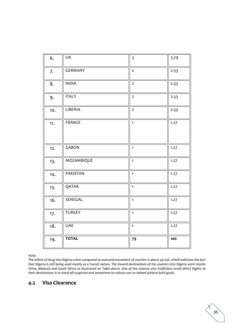| 6.  | <b>UK</b>      | $\overline{\mathbf{3}}$ | 3.79 |
|-----|----------------|-------------------------|------|
| 7.  | <b>GERMANY</b> | $\overline{2}$          | 2.53 |
| 8.  | <b>INDIA</b>   | $\overline{2}$          | 2.53 |
| 9.  | <b>ITALY</b>   | $\overline{2}$          | 2.53 |
| 10. | LIBERIA        | $\overline{2}$          | 2.53 |
| 11. | <b>FRANCE</b>  | $\mathbf{1}$            | 1.27 |
| 12. | <b>GABON</b>   | $\mathbf{1}$            | 1.27 |
| 13. | MOZAMBIQUE     | $\overline{1}$          | 1.27 |
| 14. | PAKISTAN       | $\mathbf{1}$            | 1.27 |
| 15. | QATAR          | $\mathbf{1}$            | 1.27 |
| 16. | SENEGAL        | $\mathbf{1}$            | 1.27 |
| 17. | <b>TURKEY</b>  | $\mathbf{1}$            | 1.27 |
| 18. | <b>UAE</b>     | $\mathbf{1}$            | 1.27 |
| 19. | <b>TOTAL</b>   | 79                      | 100  |

*The inflow of drug into Nigeria when compared to outward movement of couriers is about 43.03%, which indicates the fact that Nigeria is still being used mostly as a transit nation. The inward destinations of the couriers into Nigeria were mostly China, Malaysia and South Africa as illustrated on Table above. One of the reasons why traffickers avoid direct flights to their destinations is to ward off suspicion and sometimes to reduce cost or indeed achieve both goals.* 

#### **4.2 Visa Clearance**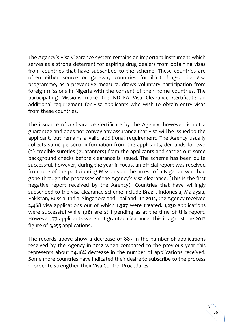The Agency's Visa Clearance system remains an important instrument which serves as a strong deterrent for aspiring drug dealers from obtaining visas from countries that have subscribed to the scheme. These countries are often either source or gateway countries for illicit drugs. The Visa programme, as a preventive measure, draws voluntary participation from foreign missions in Nigeria with the consent of their home countries. The participating Missions make the NDLEA Visa Clearance Certificate an additional requirement for visa applicants who wish to obtain entry visas from these countries.

The issuance of a Clearance Certificate by the Agency, however, is not a guarantee and does not convey any assurance that visa will be issued to the applicant, but remains a valid additional requirement. The Agency usually collects some personal information from the applicants, demands for two (2) credible sureties (guarantors) from the applicants and carries out some background checks before clearance is issued. The scheme has been quite successful, however, during the year in focus, an official report was received from one of the participating Missions on the arrest of a Nigerian who had gone through the processes of the Agency's visa clearance. (This is the first negative report received by the Agency). Countries that have willingly subscribed to the visa clearance scheme include Brazil, Indonesia, Malaysia, Pakistan, Russia, India, Singapore and Thailand. In 2013, the Agency received **2,468** visa applications out of which **1,307** were treated. **1,230** applications were successful while **1,161** are still pending as at the time of this report. However, 77 applicants were not granted clearance. This is against the 2012 figure of **3,255** applications.

The records above show a decrease of 887 in the number of applications received by the Agency in 2012 when compared to the previous year this represents about 24.18% decrease in the number of applications received. Some more countries have indicated their desire to subscribe to the process in order to strengthen their Visa Control Procedures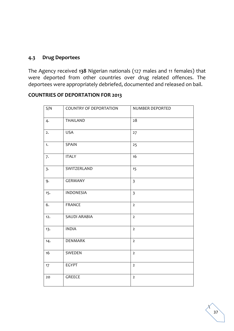### **4.3 Drug Deportees**

The Agency received **138** Nigerian nationals (127 males and 11 females) that were deported from other countries over drug related offences. The deportees were appropriately debriefed, documented and released on bail.

| S/N | <b>COUNTRY OF DEPORTATION</b> | NUMBER DEPORTED         |
|-----|-------------------------------|-------------------------|
| 4.  | THAILAND                      | 28                      |
| 2.  | <b>USA</b>                    | 27                      |
| 1.  | SPAIN                         | 25                      |
| 7.  | <b>ITALY</b>                  | 16                      |
| 3.  | SWITZERLAND                   | 15                      |
| 9.  | <b>GERMANY</b>                | $\overline{3}$          |
| 15. | <b>INDONESIA</b>              | $\overline{\mathbf{3}}$ |
| 6.  | <b>FRANCE</b>                 | $\overline{2}$          |
| 12. | <b>SAUDI ARABIA</b>           | $\overline{2}$          |
| 13. | <b>INDIA</b>                  | $\overline{2}$          |
| 14. | DENMARK                       | $\overline{2}$          |
| 16  | SWEDEN                        | $\overline{2}$          |
| 17  | <b>EGYPT</b>                  | $\overline{2}$          |
| 20  | GREECE                        | $\overline{2}$          |

## **COUNTRIES OF DEPORTATION FOR 2013**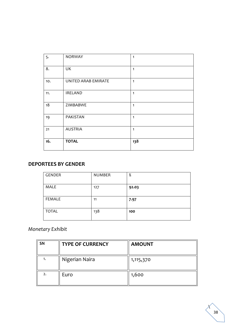| 5.  | <b>NORWAY</b>       | $\mathbf{1}$ |
|-----|---------------------|--------------|
| 8.  | UK                  | $\mathbf{1}$ |
| 10. | UNITED ARAB EMIRATE | $\mathbf{1}$ |
| 11. | <b>IRELAND</b>      | $\mathbf{1}$ |
| 18  | ZIMBABWE            | $\mathbf{1}$ |
| 19  | PAKISTAN            | $\mathbf{1}$ |
| 21  | <b>AUSTRIA</b>      | $\mathbf{1}$ |
| 16. | <b>TOTAL</b>        | 138          |

### **DEPORTEES BY GENDER**

| GENDER       | <b>NUMBER</b> | %     |
|--------------|---------------|-------|
| <b>MALE</b>  | 127           | 92.03 |
| FEMALE       | 11            | 7.97  |
| <b>TOTAL</b> | 138           | 100   |

# *Monetary Exhibit*

| SN | <b>TYPE OF CURRENCY</b> | <b>AMOUNT</b> |
|----|-------------------------|---------------|
| 1. | Nigerian Naira          | 1,115,370     |
| 2. | Euro                    | 1,600         |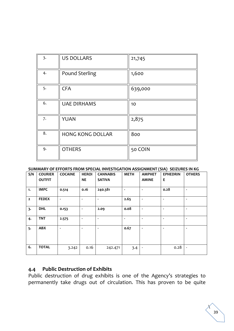| 3. | <b>US DOLLARS</b>       | 21,745  |
|----|-------------------------|---------|
| 4. | <b>Pound Sterling</b>   | 1,600   |
| 5. | <b>CFA</b>              | 639,000 |
| 6. | <b>UAE DIRHAMS</b>      | 10      |
| 7. | <b>YUAN</b>             | 2,875   |
| 8. | <b>HONG KONG DOLLAR</b> | 800     |
| 9. | <b>OTHERS</b>           | 50 COIN |

**SUMMARY OF EFFORTS FROM SPECIAL INVESTIGATION ASSIGNMENT (SIA) SEIZURES IN KG**

|                |                |                |                          |                 |                          |                          | $\sim$ $\sim$ $\sim$ $\sim$ $\sim$ |                          |
|----------------|----------------|----------------|--------------------------|-----------------|--------------------------|--------------------------|------------------------------------|--------------------------|
| S/N            | <b>COURIER</b> | <b>COCAINE</b> | <b>HEROI</b>             | <b>CANNABIS</b> | <b>METH</b>              | <b>AMPHET</b>            | <b>EPHEDRIN</b>                    | <b>OTHERS</b>            |
|                | <b>OUTFIT</b>  |                | <b>NE</b>                | <b>SATIVA</b>   |                          | <b>AMINE</b>             | Е                                  |                          |
|                |                |                |                          |                 |                          |                          |                                    |                          |
| 1.             | <b>IMPC</b>    | 0.514          | 0.16                     | 240.381         | $\overline{\phantom{a}}$ | ٠                        | 0.28                               | $\overline{\phantom{a}}$ |
| $\overline{2}$ | <b>FEDEX</b>   | $\blacksquare$ | $\overline{\phantom{a}}$ |                 | 2.65                     | $\blacksquare$           | $\blacksquare$                     | $\overline{\phantom{a}}$ |
| 3.             | <b>DHL</b>     | 0.153          |                          | 2.09            | 0.08                     | ٠                        | $\blacksquare$                     | $\blacksquare$           |
| 4.             | <b>TNT</b>     | 2.575          |                          | ÷               | $\blacksquare$           | $\blacksquare$           | $\blacksquare$                     | $\blacksquare$           |
| 5.             | <b>ABX</b>     | $\blacksquare$ | $\blacksquare$           |                 | 0.67                     | ٠                        | $\blacksquare$                     | $\blacksquare$           |
| 6.             | <b>TOTAL</b>   | 3.242          | 0.16                     | 242.471         | 3.4                      | $\overline{\phantom{a}}$ | 0.28                               | $\overline{\phantom{a}}$ |

### **4.4 Public Destruction of Exhibits**

Public destruction of drug exhibits is one of the Agency's strategies to permanently take drugs out of circulation. This has proven to be quite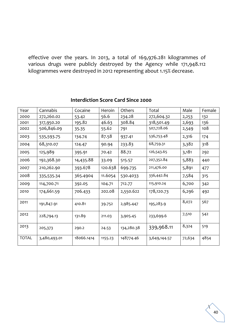effective over the years. In 2013, a total of 169,976.281 kilogrammes of various drugs were publicly destroyed by the Agency while 171,948.112 kilogrammes were destroyed in 2012 representing about 1.15% decrease.

| Year         | Cannabis     | Cocaine    | Heroin  | Others     | Total        | Male   | Female |
|--------------|--------------|------------|---------|------------|--------------|--------|--------|
| 2000         | 272,260.02   | 53.42      | 56.6    | 234.28     | 272,604.32   | 2,253  | 132    |
| 2001         | 317,950.20   | 195.82     | 46.63   | 308.84     | 318,501.49   | 2,693  | 136    |
| 2002         | 506,846.09   | 35.35      | 55.62   | 791        | 507,728.06   | 2,549  | 108    |
| 2003         | 535,593.75   | 134.74     | 87.58   | 937.41     | 536,753.48   | 2,316  | 174    |
| 2004         | 68,310.07    | 124.47     | 90.94   | 233.83     | 68,759.31    | 3,382  | 318    |
| 2005         | 125,989      | 395.91     | 70.42   | 88.72      | 126,543.65   | 3,181  | 292    |
| 2006         | 192,368.30   | 14,435.88  | 33.09   | 515.57     | 207,352.84   | 5,883  | 440    |
| 2007         | 210,262.90   | 393.678    | 120.638 | 699.735    | 211,476.00   | 5,891  | 477    |
| 2008         | 335,535.34   | 365.4904   | 11.6054 | 530.4033   | 336,442.84   | 7,584  | 315    |
| 2009         | 114,700.71   | 392.05     | 104.71  | 712.77     | 115,910.24   | 6,700  | 342    |
| 2010         | 174,661.59   | 706.433    | 202.08  | 2,550.622  | 178,120.73   | 6,296  | 492    |
| 2011         | 191,847.91   | 410.81     | 39.752  | 2,985.447  | 195,283.9    | 8,072  | 567    |
| 2012         | 228,794.13   | 131.89     | 211.03  | 3,905.45   | 233,699.6    | 7,510  | 542    |
| 2013         | 205,373      | 290.2      | 24.53   | 134,280.38 | 339,968.11   | 8,324  | 519    |
| <b>TOTAL</b> | 3,480,493.01 | 18066.1414 | 1155.23 | 148774.46  | 3,649,144.57 | 72,634 | 4854   |

### **Interdiction Score Card Since 2000**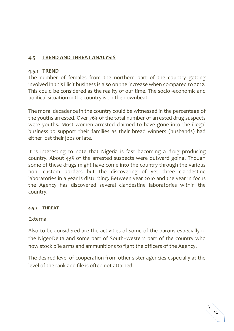## **4.5 TREND AND THREAT ANALYSIS**

### **4.5.1 TREND**

The number of females from the northern part of the country getting involved in this illicit business is also on the increase when compared to 2012. This could be considered as the reality of our time. The socio -economic and political situation in the country is on the downbeat.

The moral decadence in the country could be witnessed in the percentage of the youths arrested. Over 76% of the total number of arrested drug suspects were youths. Most women arrested claimed to have gone into the illegal business to support their families as their bread winners (husbands) had either lost their jobs or late.

It is interesting to note that Nigeria is fast becoming a drug producing country. About 43% of the arrested suspects were outward going. Though some of these drugs might have come into the country through the various non- custom borders but the discovering of yet three clandestine laboratories in a year is disturbing. Between year 2010 and the year in focus the Agency has discovered several clandestine laboratories within the country.

#### **4.5.2 THREAT**

#### External

Also to be considered are the activities of some of the barons especially in the Niger-Delta and some part of South–western part of the country who now stock pile arms and ammunitions to fight the officers of the Agency.

The desired level of cooperation from other sister agencies especially at the level of the rank and file is often not attained.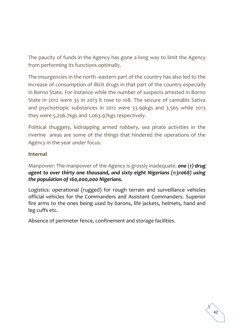The paucity of funds in the Agency has gone a long way to limit the Agency from performing its functions optimally.

The insurgencies in the north -eastern part of the country has also led to the increase of consumption of illicit drugs in that part of the country especially in Borno State. For instance while the number of suspects arrested in Borno State in 2012 were 35 in 2013 it rose to 108. The seizure of cannabis Sativa and psychotropic substances in 2012 were 33.99kgs and 3.565 while 2013 they were 5,206.7kgs and 1,063.97kgs respectively.

Political thuggery, kidnapping armed robbery, sea pirate activities in the riverine areas are some of the things that hindered the operations of the Agency in the year under focus.

### **Internal**

Manpower: The manpower of the Agency is grossly inadequate. *one* (*1) drug agent to over thirty one thousand, and sixty eight Nigerians (1:31068) using the population of 160,000,000 Nigerians.* 

Logistics: operational (rugged) for rough terrain and surveillance vehicles official vehicles for the Commanders and Assistant Commanders. Superior fire arms to the ones being used by barons, life jackets, helmets, hand and leg cuffs etc.

Absence of perimeter fence, confinement and storage facilities.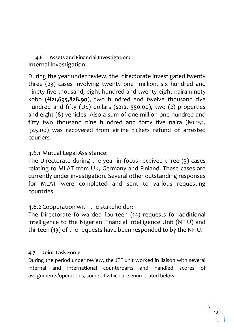# **4.6 Assets and Financial Investigation:**

Internal Investigation:

During the year under review, the directorate investigated twenty three (23) cases involving twenty one million, six hundred and ninety five thousand, eight hundred and twenty eight naira ninety kobo (**N21,695,828.90**), two hundred and twelve thousand five hundred and fifty (US) dollars (\$212, 550.00), two (2) properties and eight (8) vehicles. Also a sum of one million one hundred and fifty two thousand nine hundred and forty five naira  $(A_{1,152})$ , 945.00) was recovered from airline tickets refund of arrested couriers.

# 4.6.1 Mutual Legal Assistance:

The Directorate during the year in focus received three (3) cases relating to MLAT from UK, Germany and Finland. These cases are currently under investigation. Several other outstanding responses for MLAT were completed and sent to various requesting countries.

# 4.6.2 Cooperation with the stakeholder:

The Directorate forwarded fourteen (14) requests for additional intelligence to the Nigerian Financial Intelligence Unit (NFIU) and thirteen (13) of the requests have been responded to by the NFIU.

## **4.7 Joint Task Force**

During the period under review, the JTF unit worked in liaison with several internal and international counterparts and handled scores of assignments/operations, some of which are enumerated below: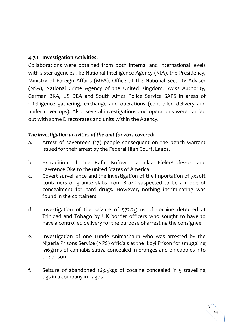### **4.7.1 Investigation Activities:**

Collaborations were obtained from both internal and international levels with sister agencies like National Intelligence Agency (NIA), the Presidency, Ministry of Foreign Affairs (MFA), Office of the National Security Adviser (NSA), National Crime Agency of the United Kingdom, Swiss Authority, German BKA, US DEA and South Africa Police Service SAPS in areas of intelligence gathering, exchange and operations (controlled delivery and under cover ops). Also, several investigations and operations were carried out with some Directorates and units within the Agency.

### *The investigation activities of the unit for 2013 covered:*

- a. Arrest of seventeen (17) people consequent on the bench warrant issued for their arrest by the Federal High Court, Lagos.
- b. Extradition of one Rafiu Kofoworola a.k.a Elele/Professor and Lawrence Oke to the united States of America
- c. Covert surveillance and the investigation of the importation of 7x20ft containers of granite slabs from Brazil suspected to be a mode of concealment for hard drugs. However, nothing incriminating was found in the containers.
- d. Investigation of the seizure of 572.2grms of cocaine detected at Trinidad and Tobago by UK border officers who sought to have to have a controlled delivery for the purpose of arresting the consignee.
- e. Investigation of one Tunde Animashaun who was arrested by the Nigeria Prisons Service (NPS) officials at the Ikoyi Prison for smuggling 516grms of cannabis sativa concealed in oranges and pineapples into the prison
- f. Seizure of abandoned 163.5kgs of cocaine concealed in 5 travelling bgs in a company in Lagos.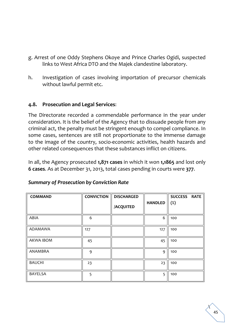- g. Arrest of one Oddy Stephens Okoye and Prince Charles Ogidi, suspected links to West Africa DTO and the Majek clandestine laboratory.
- h. Investigation of cases involving importation of precursor chemicals without lawful permit etc.

### **4.8. Prosecution and Legal Services**:

The Directorate recorded a commendable performance in the year under consideration. It is the belief of the Agency that to dissuade people from any criminal act, the penalty must be stringent enough to compel compliance. In some cases, sentences are still not proportionate to the immense damage to the image of the country, socio-economic activities, health hazards and other related consequences that these substances inflict on citizens.

In all, the Agency prosecuted **1,871 cases** in which it won **1,1865** and lost only **6 cases**. As at December 31, 2013, total cases pending in courts were **377**.

| <b>COMMAND</b>   | <b>CONVICTION</b> | <b>DISCHARGED</b> |                | SUCCESS RATE |
|------------------|-------------------|-------------------|----------------|--------------|
|                  |                   | <b>/ACQUITED</b>  | <b>HANDLED</b> | $(\%)$       |
| ABIA             | 6                 |                   | 6              | 100          |
| ADAMAWA          | 127               |                   | 127            | 100          |
| <b>AKWA IBOM</b> | 45                |                   | 45             | 100          |
| ANAMBRA          | 9                 |                   | 9              | 100          |
| <b>BAUCHI</b>    | 23                |                   | 23             | 100          |
| <b>BAYELSA</b>   | 5                 |                   | 5              | 100          |

### *Summary of Prosecution by Conviction Rate*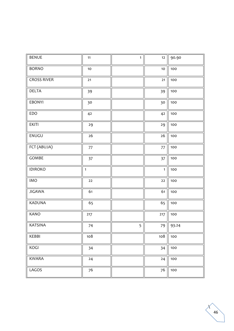| <b>BENUE</b>       | 11           | $\mathbf{1}$ | 12           | 90.90 |
|--------------------|--------------|--------------|--------------|-------|
| <b>BORNO</b>       | $10$         |              | $10$         | 100   |
| <b>CROSS RIVER</b> | $21$         |              | 21           | 100   |
| DELTA              | 39           |              | 39           | 100   |
| <b>EBONYI</b>      | 30           |              | 30           | 100   |
| EDO                | 42           |              | 42           | 100   |
| <b>EKITI</b>       | 29           |              | 29           | 100   |
| ENUGU              | 26           |              | 26           | 100   |
| FCT (ABUJA)        | 77           |              | 77           | 100   |
| GOMBE              | 37           |              | 37           | 100   |
| <b>IDIROKO</b>     | $\mathbf{1}$ |              | $\mathbf{1}$ | 100   |
| <b>IMO</b>         | $22$         |              | 22           | 100   |
| <b>JIGAWA</b>      | 61           |              | 61           | 100   |
| KADUNA             | 65           |              | 65           | 100   |
| KANO               | 217          |              | 217          | 100   |
| <b>KATSINA</b>     | 74           | 5            | 79           | 93.24 |
| KEBBI              | 108          |              | 108          | 100   |
| KOGI               | 34           |              | 34           | 100   |
| <b>KWARA</b>       | 24           |              | 24           | 100   |
| LAGOS              | 76           |              | 76           | 100   |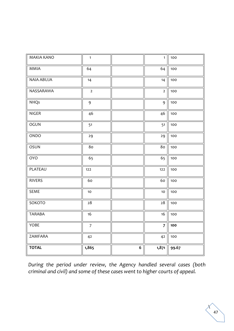| <b>MAKIA KANO</b> | $\mathbf{1}$   |                  | $\mathbf{1}$   | 100   |
|-------------------|----------------|------------------|----------------|-------|
| MMIA              | 64             |                  | 64             | 100   |
| <b>NAIA ABUJA</b> | 14             |                  | 14             | 100   |
| NASSARAWA         | $\overline{2}$ |                  | $\overline{2}$ | 100   |
| <b>NHQs</b>       | $\mathbf{9}$   |                  | 9              | 100   |
| <b>NIGER</b>      | 46             |                  | 46             | 100   |
| OGUN              | 51             |                  | 51             | 100   |
| ONDO              | 29             |                  | 29             | 100   |
| OSUN              | 80             |                  | 80             | 100   |
| <b>OYO</b>        | 65             |                  | 65             | 100   |
| PLATEAU           | 122            |                  | 122            | 100   |
| <b>RIVERS</b>     | 60             |                  | 60             | 100   |
| <b>SEME</b>       | 10             |                  | 10             | 100   |
| SOKOTO            | $28\,$         |                  | $28\,$         | 100   |
| <b>TARABA</b>     | 16             |                  | 16             | 100   |
| YOBE              | $\overline{7}$ |                  | $\overline{7}$ | 100   |
| ZAMFARA           | 42             |                  | 42             | 100   |
| <b>TOTAL</b>      | 1,865          | $\boldsymbol{6}$ | 1,871          | 99.67 |

*During the period under review, the Agency handled several cases (both criminal and civil) and some of these cases went to higher courts of appeal.*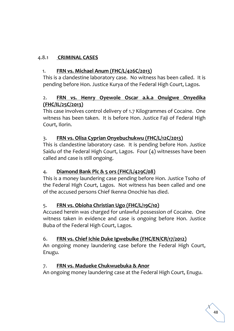## 4.8.1 **CRIMINAL CASES**

## 1. **FRN vs. Michael Anum (FHC/L/426C/2013)**

This is a clandestine laboratory case. No witness has been called. It is pending before Hon. Justice Kurya of the Federal High Court, Lagos.

## 2. **FRN vs. Henry Oyewole Oscar a.k.a Onuigwe Onyedika (FHC/IL/25C/2013)**

This case involves control delivery of 1.7 Kilogrammes of Cocaine. One witness has been taken. It is before Hon. Justice Faji of Federal High Court, Ilorin.

## 3. **FRN vs. Olisa Cyprian Onyebuchukwu (FHC/L/12C/2013)**

This is clandestine laboratory case. It is pending before Hon. Justice Saidu of the Federal High Court, Lagos. Four (4) witnesses have been called and case is still ongoing.

## 4. **Diamond Bank Plc & 5 ors (FHC/L/429C/08)**

This is a money laundering case pending before Hon. Justice Tsoho of the Federal High Court, Lagos. Not witness has been called and one of the accused persons Chief Ikenna Onochie has died.

## 5. **FRN vs. Obioha Christian Ugo (FHC/L/19C/10)**

Accused herein was charged for unlawful possession of Cocaine. One witness taken in evidence and case is ongoing before Hon. Justice Buba of the Federal High Court, Lagos.

## 6. **FRN vs. Chief Ichie Duke Igwebuike (FHC/EN/CR/17/2012)**

An ongoing money laundering case before the Federal High Court, Enugu.

### 7. **FRN vs. Madueke Chukwuebuka & Anor**

An ongoing money laundering case at the Federal High Court, Enugu.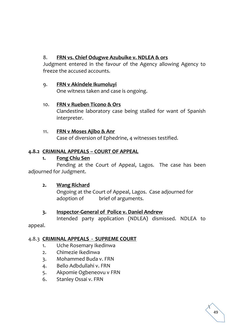## 8. **FRN vs. Chief Odugwe Azubuike v. NDLEA & ors**

Judgment entered in the favour of the Agency allowing Agency to freeze the accused accounts.

### 9. **FRN v Akindele Ikumoluyi**

One witness taken and case is ongoing.

### 10. **FRN v Rueben Ticono & Ors**

Clandestine laboratory case being stalled for want of Spanish interpreter.

### 11. **FRN v Moses Ajibo & Anr**

Case of diversion of Ephedrine, 4 witnesses testified.

## **4.8.2 CRIMINAL APPEALS – COURT OF APPEAL**

### **1. Fong Chiu Sen**

Pending at the Court of Appeal, Lagos. The case has been adjourned for Judgment.

## **2. Wang Richard**

Ongoing at the Court of Appeal, Lagos. Case adjourned for adoption of brief of arguments.

## **3. Inspector-General of Police v. Daniel Andrew**

Intended party application (NDLEA) dismissed. NDLEA to

appeal.

## 4.8.3 **CRIMINAL APPEALS - SUPREME COURT**

- 1. Uche Rosemary Ikedinwa
- 2. Chimezie Ikedinwa
- 3. Mohammed Buda v. FRN
- 4. Bello Adbdullahi v. FRN
- 5. Akpomie Ogbeneovu v FRN
- 6. Stanley Ossai v. FRN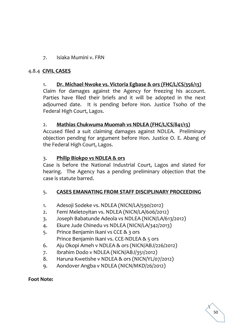## 7. Isiaka Mumini v. FRN

### 4.8.4 **CIVIL CASES**

### 1. **Dr. Michael Nwoke vs. Victoria Egbase & ors (FHC/L/CS/356/13)**

Claim for damages against the Agency for freezing his account. Parties have filed their briefs and it will be adopted in the next adjourned date. It is pending before Hon. Justice Tsoho of the Federal High Court, Lagos.

### 2. **Mathias Chukwuma Muomah vs NDLEA (FHC/L/CS/841/13)**

Accused filed a suit claiming damages against NDLEA. Preliminary objection pending for argument before Hon. Justice O. E. Abang of the Federal High Court, Lagos.

#### 3. **Philip Biokpo vs NDLEA & ors**

Case is before the National Industrial Court, Lagos and slated for hearing. The Agency has a pending preliminary objection that the case is statute barred.

### 5. **CASES EMANATING FROM STAFF DISCIPLINARY PROCEEDING**

- 1. Adesoji Sodeke vs. NDLEA (NICN/LA/590/2012)
- 2. Femi Meletoyitan vs. NDLEA (NICN/LA/606/2012)
- 3. Joseph Babatunde Adeola vs NDLEA (NICN/LA/613/2012)
- 4. Ekure Jude Chinedu vs NDLEA (NICN/LA/342/2013)
- 5. Prince Benjamin Ikani vs CCE & 3 ors Prince Benjamin Ikani vs. CCE-NDLEA & 5 ors
- 6. Aju Okopi Ameh v NDLEA & ors (NICN/ABJ/226/2012)
- 7. Ibrahim Dodo v NDLEA (NICN/ABJ/351/2012)
- 8. Haruna Kwetishe v NDLEA & ors (NICN/YL/07/2012)
- 9. Aondover Angba v NDLEA (NICN/MKD/26/2012)

### **Foot Note:**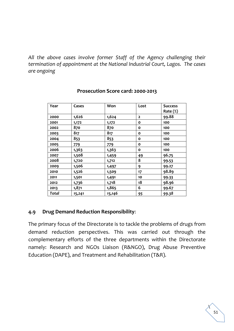*All the above cases involve former Staff of the Agency challenging their termination of appointment at the National Industrial Court, Lagos. The cases are ongoing*

| Year  | Cases  | Won    | Lost         | <b>Success</b> |
|-------|--------|--------|--------------|----------------|
|       |        |        |              | Rate (%)       |
| 2000  | 1,626  | 1,624  | $\mathbf{z}$ | 99.88          |
| 2001  | 1,172  | 1,172  | O            | 100            |
| 2002  | 870    | 870    | O            | 100            |
| 2003  | 817    | 817    | O            | 100            |
| 2004  | 853    | 853    | O            | 100            |
| 2005  | 779    | 779    | о            | 100            |
| 2006  | 1,363  | 1,363  | O            | 100            |
| 2007  | 1,508  | 1,459  | 49           | 96.75          |
| 2008  | 1,720  | 1,712  | 8            | 99.53          |
| 2009  | 1,506  | 1,497  | 9            | 99.27          |
| 2010  | 1,526  | 1,509  | 17           | 98.89          |
| 2011  | 1,501  | 1,491  | 10           | 99.33          |
| 2012  | 1,736  | 1,718  | 18           | 98.96          |
| 2013  | 1,871  | 1,865  | 6            | 99.67          |
| Total | 15,241 | 15,146 | 95           | 99.38          |

#### **Prosecution Score card: 2000-2013**

#### **4.9 Drug Demand Reduction Responsibility**:

The primary focus of the Directorate is to tackle the problems of drugs from demand reduction perspectives. This was carried out through the complementary efforts of the three departments within the Directorate namely: Research and NGOs Liaison (R&NGO), Drug Abuse Preventive Education (DAPE), and Treatment and Rehabilitation (T&R).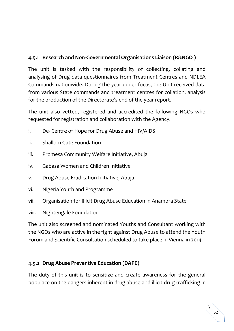## **4.9.1 Research and Non-Governmental Organisations Liaison (R&NGO )**

The unit is tasked with the responsibility of collecting, collating and analysing of Drug data questionnaires from Treatment Centres and NDLEA Commands nationwide. During the year under focus, the Unit received data from various State commands and treatment centres for collation, analysis for the production of the Directorate's end of the year report.

The unit also vetted, registered and accredited the following NGOs who requested for registration and collaboration with the Agency.

- i. De- Centre of Hope for Drug Abuse and HIV/AIDS
- ii. Shallom Gate Foundation
- iii. Promesa Community Welfare Initiative, Abuja
- iv. Gabasa Women and Children Initiative
- v. Drug Abuse Eradication Initiative, Abuja
- vi. Nigeria Youth and Programme
- vii. Organisation for Illicit Drug Abuse Education in Anambra State
- viii. Nightengale Foundation

The unit also screened and nominated Youths and Consultant working with the NGOs who are active in the fight against Drug Abuse to attend the Youth Forum and Scientific Consultation scheduled to take place in Vienna in 2014.

## **4.9.2 Drug Abuse Preventive Education (DAPE)**

The duty of this unit is to sensitize and create awareness for the general populace on the dangers inherent in drug abuse and illicit drug trafficking in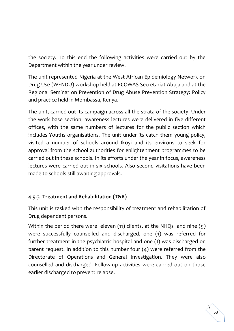the society. To this end the following activities were carried out by the Department within the year under review.

The unit represented Nigeria at the West African Epidemiology Network on Drug Use (WENDU) workshop held at ECOWAS Secretariat Abuja and at the Regional Seminar on Prevention of Drug Abuse Prevention Strategy: Policy and practice held in Mombassa, Kenya.

The unit, carried out its campaign across all the strata of the society. Under the work base section, awareness lectures were delivered in five different offices, with the same numbers of lectures for the public section which includes Youths organisations. The unit under its catch them young policy, visited a number of schools around Ikoyi and its environs to seek for approval from the school authorities for enlightenment programmes to be carried out in these schools. In its efforts under the year in focus, awareness lectures were carried out in six schools. Also second visitations have been made to schools still awaiting approvals.

## 4.9.3 **Treatment and Rehabilitation (T&R)**

This unit is tasked with the responsibility of treatment and rehabilitation of Drug dependent persons.

Within the period there were eleven (11) clients, at the NHQs and nine (9) were successfully counselled and discharged, one (1) was referred for further treatment in the psychiatric hospital and one (1) was discharged on parent request. In addition to this number four (4) were referred from the Directorate of Operations and General Investigation. They were also counselled and discharged. Follow-up activities were carried out on those earlier discharged to prevent relapse.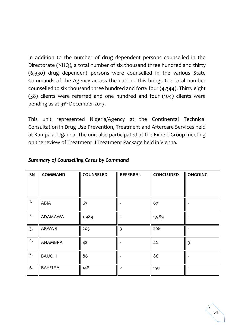In addition to the number of drug dependent persons counselled in the Directorate (NHQ), a total number of six thousand three hundred and thirty (6,330) drug dependent persons were counselled in the various State Commands of the Agency across the nation. This brings the total number counselled to six thousand three hundred and forty four (4,344). Thirty eight (38) clients were referred and one hundred and four (104) clients were pending as at 31<sup>st</sup> December 2013.

This unit represented Nigeria/Agency at the Continental Technical Consultation in Drug Use Prevention, Treatment and Aftercare Services held at Kampala, Uganda. The unit also participated at the Expert Group meeting on the review of Treatment II Treatment Package held in Vienna.

| SN | <b>COMMAND</b> | <b>COUNSELED</b> | <b>REFERRAL</b>         | <b>CONCLUDED</b> | <b>ONGOING</b> |
|----|----------------|------------------|-------------------------|------------------|----------------|
|    |                |                  |                         |                  |                |
| 1. | ABIA           | 67               |                         | 67               |                |
| 2. | ADAMAWA        | 1,989            |                         | 1,989            |                |
| 3. | AKWA/I         | 205              | $\overline{\mathbf{3}}$ | 208              |                |
| 4. | ANAMBRA        | 42               |                         | 42               | 9              |
| 5. | <b>BAUCHI</b>  | 86               |                         | 86               |                |
| 6. | BAYELSA        | 148              | $\overline{2}$          | 150              |                |

### *Summary of Counselling Cases by Command*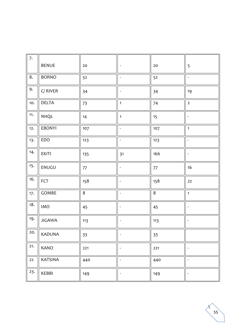| 7.  |                |     |                          |      |                              |
|-----|----------------|-----|--------------------------|------|------------------------------|
|     | <b>BENUE</b>   | 20  | $\overline{\phantom{a}}$ | 20   | 5                            |
| 8.  | <b>BORNO</b>   | 52  | $\blacksquare$           | 52   | $\overline{a}$               |
| 9.  | $C/$ RIVER     | 34  | $\overline{\phantom{a}}$ | 34   | 19                           |
| 10. | <b>DELTA</b>   | 73  | $\overline{1}$           | 74   | $\overline{2}$               |
| 11. | <b>NHQs</b>    | 14  | $\mathbf{1}$             | 15   | $\overline{a}$               |
| 12. | <b>EBONYI</b>  | 107 | $\overline{\phantom{a}}$ | 107  | $\mathbf{1}$                 |
| 13. | EDO            | 123 | $\bar{\phantom{a}}$      | 123  | $\overline{\phantom{a}}$     |
| 14. | <b>EKITI</b>   | 135 | 31                       | 166  | $\overline{\phantom{a}}$     |
| 15. | ENUGU          | 77  | $\overline{\phantom{a}}$ | $77$ | 16                           |
| 16. | FCT            | 158 | $\overline{\phantom{a}}$ | 158  | 22                           |
| 17. | GOMBE          | 8   | $\overline{\phantom{a}}$ | 8    | $\mathbf{1}$                 |
| 18. | <b>IMO</b>     | 45  |                          | 45   | $\overline{a}$               |
| 19. | <b>JIGAWA</b>  | 113 |                          | 113  |                              |
| 20. | KADUNA         | 33  |                          | 33   |                              |
| 21. | KANO           | 221 |                          | 221  | $\overline{a}$               |
| 22  | <b>KATSINA</b> | 440 | $\overline{\phantom{a}}$ | 440  | $\bar{\phantom{a}}$          |
| 23. | KEBBI          | 149 | $\blacksquare$           | 149  | $\qquad \qquad \blacksquare$ |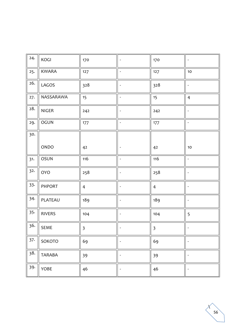| 24. | KOGI          | 170            |                              | 170                     |                          |
|-----|---------------|----------------|------------------------------|-------------------------|--------------------------|
| 25. | <b>KWARA</b>  | 127            | $\overline{\phantom{a}}$     | 127                     | $10$                     |
| 26. | LAGOS         | 328            | $\overline{a}$               | 328                     |                          |
| 27. | NASSARAWA     | 15             | $\overline{\phantom{a}}$     | 15                      | $\overline{4}$           |
| 28. | NIGER         | 242            | $\overline{a}$               | 242                     | $\overline{\phantom{a}}$ |
| 29. | OGUN          | 177            | $\frac{1}{2}$                | 177                     | $\overline{\phantom{a}}$ |
| 30. |               |                |                              |                         |                          |
|     | ONDO          | 42             | $\overline{\phantom{a}}$     | 42                      | $10$                     |
| 31. | OSUN          | 116            | $\overline{a}$               | 116                     | $\overline{\phantom{a}}$ |
| 32. | <b>OYO</b>    | 258            | $\qquad \qquad \blacksquare$ | 258                     | $\overline{\phantom{a}}$ |
| 33. | PHPORT        | $\overline{4}$ | $\overline{\phantom{a}}$     | $\overline{4}$          | $\overline{\phantom{a}}$ |
| 34. | PLATEAU       | 189            | $\qquad \qquad \blacksquare$ | 189                     | $\overline{\phantom{a}}$ |
| 35. | <b>RIVERS</b> | 104            | $\overline{\phantom{a}}$     | 104                     | 5                        |
| 36. | SEME          | $\overline{3}$ |                              | $\overline{\mathbf{3}}$ |                          |
| 37. | SOKOTO        | 69             |                              | 69                      |                          |
| 38. | <b>TARABA</b> | 39             | $\overline{a}$               | 39                      | $\overline{\phantom{a}}$ |
| 39. | YOBE          | 46             | $\qquad \qquad \blacksquare$ | 46                      | $\overline{\phantom{a}}$ |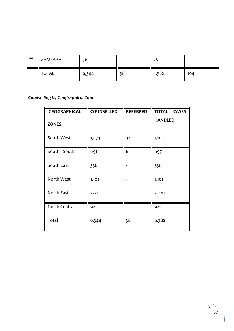| 40. | $\parallel$ ZAMFARA | 76    | -  | 76    | -   |
|-----|---------------------|-------|----|-------|-----|
|     | <b>TOTAL</b>        | 6,344 | 38 | 6,382 | 104 |

# *Counselling by Geographical Zone*

| <b>GEOGRAPHICAL</b> | <b>COUNSELLED</b> | <b>REFERRED</b> | <b>TOTAL</b><br><b>CASES</b> |
|---------------------|-------------------|-----------------|------------------------------|
| <b>ZONES</b>        |                   |                 | <b>HANDLED</b>               |
| South West          | 1,073             | 32              | 1,105                        |
| South-South         | 691               | 6               | 697                          |
| South East          | 338               |                 | 338                          |
| North West          | 1,101             |                 | 1,101                        |
| North East          | 2220              |                 | 2,220                        |
| North Central       | 921               |                 | 921                          |
| <b>Total</b>        | 6,344             | 38              | 6,382                        |

 $\mathbf{r}$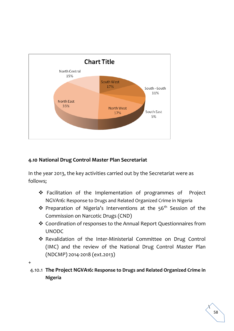

## **4.10 National Drug Control Master Plan Secretariat**

In the year 2013, the key activities carried out by the Secretariat were as follows;

- ❖ Facilitation of the Implementation of programmes of Project NGVA16: Response to Drugs and Related Organized Crime in Nigeria
- ◆ Preparation of Nigeria's Interventions at the 56<sup>th</sup> Session of the Commission on Narcotic Drugs (CND)
- ❖ Coordination of responses to the Annual Report Questionnaires from UNODC
- ❖ Revalidation of the Inter-Ministerial Committee on Drug Control (IMC) and the review of the National Drug Control Master Plan (NDCMP) 2014-2018 (ext.2013)
- +
- 4.10.1 **The Project NGVA16: Response to Drugs and Related Organized Crime in Nigeria**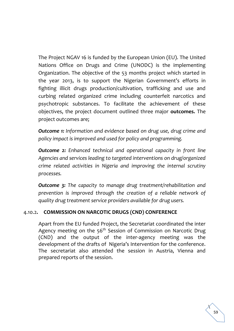The Project NGAV 16 is funded by the European Union (EU). The United Nations Office on Drugs and Crime (UNODC) is the implementing Organization. The objective of the 53 months project which started in the year 2013, is to support the Nigerian Government's efforts in fighting illicit drugs production/cultivation, trafficking and use and curbing related organized crime including counterfeit narcotics and psychotropic substances. To facilitate the achievement of these objectives, the project document outlined three major **outcomes.** The project outcomes are;

*Outcome 1: Information and evidence based on drug use, drug crime and policy impact is improved and used for policy and programming.* 

*Outcome 2: Enhanced technical and operational capacity in front line Agencies and services leading to targeted interventions on drug/organized crime related activities in Nigeria and improving the internal scrutiny processes.* 

*Outcome 3: The capacity to manage drug treatment/rehabilitation and prevention is improved through the creation of a reliable network of quality drug treatment service providers available for drug users.*

### 4.10.2**. COMMISSION ON NARCOTIC DRUGS (CND) CONFERENCE**

Apart from the EU funded Project, the Secretariat coordinated the inter Agency meeting on the 56<sup>th</sup> Session of Commission on Narcotic Drug (CND) and the output of the inter-agency meeting was the development of the drafts of Nigeria's Intervention for the conference. The secretariat also attended the session in Austria, Vienna and prepared reports of the session.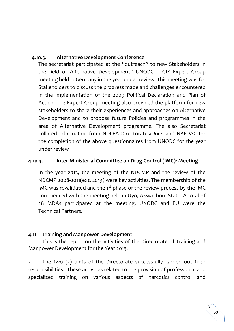### **4.10.3. Alternative Development Conference**

The secretariat participated at the "outreach" to new Stakeholders in the field of Alternative Development" UNODC – GIZ Expert Group meeting held in Germany in the year under review. This meeting was for Stakeholders to discuss the progress made and challenges encountered in the implementation of the 2009 Political Declaration and Plan of Action. The Expert Group meeting also provided the platform for new stakeholders to share their experiences and approaches on Alternative Development and to propose future Policies and programmes in the area of Alternative Development programme. The also Secretariat collated information from NDLEA Directorates/Units and NAFDAC for the completion of the above questionnaires from UNODC for the year under review

### **4.10.4. Inter-Ministerial Committee on Drug Control (IMC): Meeting**

In the year 2013, the meeting of the NDCMP and the review of the NDCMP 2008-2011(ext. 2013) were key activities. The membership of the IMC was revalidated and the  $1<sup>st</sup>$  phase of the review process by the IMC commenced with the meeting held in Uyo, Akwa Ibom State. A total of 28 MDAs participated at the meeting. UNODC and EU were the Technical Partners.

### **4.11 Training and Manpower Development**

This is the report on the activities of the Directorate of Training and Manpower Development for the Year 2013.

2. The two (2) units of the Directorate successfully carried out their responsibilities. These activities related to the provision of professional and specialized training on various aspects of narcotics control and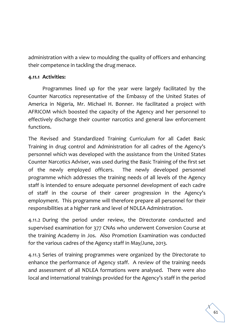administration with a view to moulding the quality of officers and enhancing their competence in tackling the drug menace.

### **4.11.1 Activities:**

Programmes lined up for the year were largely facilitated by the Counter Narcotics representative of the Embassy of the United States of America in Nigeria, Mr. Michael H. Bonner. He facilitated a project with AFRICOM which boosted the capacity of the Agency and her personnel to effectively discharge their counter narcotics and general law enforcement functions.

The Revised and Standardized Training Curriculum for all Cadet Basic Training in drug control and Administration for all cadres of the Agency's personnel which was developed with the assistance from the United States Counter Narcotics Adviser, was used during the Basic Training of the first set of the newly employed officers. The newly developed personnel programme which addresses the training needs of all levels of the Agency staff is intended to ensure adequate personnel development of each cadre of staff in the course of their career progression in the Agency's employment. This programme will therefore prepare all personnel for their responsibilities at a higher rank and level of NDLEA Administration.

4.11.2 During the period under review, the Directorate conducted and supervised examination for 377 CNAs who underwent Conversion Course at the training Academy in Jos. Also Promotion Examination was conducted for the various cadres of the Agency staff in May/June, 2013.

4.11.3 Series of training programmes were organized by the Directorate to enhance the performance of Agency staff. A review of the training needs and assessment of all NDLEA formations were analysed. There were also local and international trainings provided for the Agency's staff in the period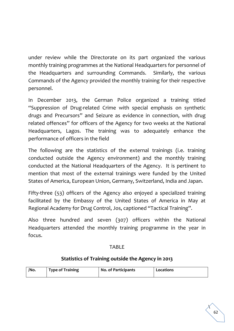under review while the Directorate on its part organized the various monthly training programmes at the National Headquarters for personnel of the Headquarters and surrounding Commands. Similarly, the various Commands of the Agency provided the monthly training for their respective personnel.

In December 2013, the German Police organized a training titled "Suppression of Drug-related Crime with special emphasis on synthetic drugs and Precursors" and Seizure as evidence in connection, with drug related offences" for officers of the Agency for two weeks at the National Headquarters, Lagos. The training was to adequately enhance the performance of officers in the field

The following are the statistics of the external trainings (i.e. training conducted outside the Agency environment) and the monthly training conducted at the National Headquarters of the Agency. It is pertinent to mention that most of the external trainings were funded by the United States of America, European Union, Germany, Switzerland, India and Japan.

Fifty-three (53) officers of the Agency also enjoyed a specialized training facilitated by the Embassy of the United States of America in May at Regional Academy for Drug Control, Jos, captioned "Tactical Training".

Also three hundred and seven (307) officers within the National Headquarters attended the monthly training programme in the year in focus.

#### TABLE

### **Statistics of Training outside the Agency in 2013**

| /No. | <b>Type of Training</b> | <b>No. of Participants</b> | Locations |
|------|-------------------------|----------------------------|-----------|
|------|-------------------------|----------------------------|-----------|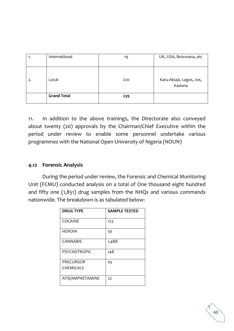| 1. | International      | 19  | UK, USA, Botswana, etc            |
|----|--------------------|-----|-----------------------------------|
| 2. | Local              | 220 | Karu-Abuja, Lagos, Jos,<br>Kaduna |
|    | <b>Grand Total</b> | 239 |                                   |

11. In addition to the above trainings, the Directorate also conveyed about twenty (20) approvals by the Chairman/Chief Executive within the period under review to enable some personnel undertake various programmes with the National Open University of Nigeria (NOUN)

### **4.12 Forensic Analysis**

During the period under review, the Forensic and Chemical Monitoring Unit (FCMU) conducted analysis on a total of One thousand eight hundred and fifty one (1,851) drug samples from the NHQs and various commands nationwide. The breakdown is as tabulated below:

| <b>DRUG TYPE</b>    | <b>SAMPLE TESTED</b> |
|---------------------|----------------------|
| COCAINE             | 123                  |
| <b>HEROIN</b>       | 50                   |
| <b>CANNABIS</b>     | 1,488                |
| <b>PSYCHOTROPIC</b> | 148                  |
| PRECURSOR           | 05                   |
| <b>CHEMICALS</b>    |                      |
| ATS(AMPHETAMINE     | 22                   |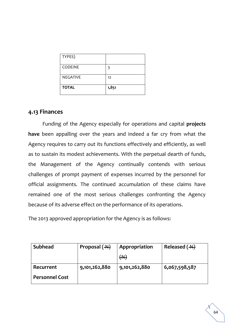| TYPES)          |       |
|-----------------|-------|
| <b>CODEINE</b>  | 3     |
| <b>NEGATIVE</b> | 12    |
| <b>TOTAL</b>    | 1,851 |

### **4.13 Finances**

Funding of the Agency especially for operations and capital **projects have** been appalling over the years and indeed a far cry from what the Agency requires to carry out its functions effectively and efficiently, as well as to sustain its modest achievements. With the perpetual dearth of funds, the Management of the Agency continually contends with serious challenges of prompt payment of expenses incurred by the personnel for official assignments. The continued accumulation of these claims have remained one of the most serious challenges confronting the Agency because of its adverse effect on the performance of its operations.

The 2013 approved appropriation for the Agency is as follows:

| <b>Subhead</b>        | Proposal $(\overline{+)}$ | Appropriation | Released $(\rightarrow\rightarrow)$ |
|-----------------------|---------------------------|---------------|-------------------------------------|
|                       |                           | $($ AH $)$    |                                     |
| Recurrent             | 9,101,262,880             | 9,101,262,880 | 6,067,598,587                       |
| <b>Personnel Cost</b> |                           |               |                                     |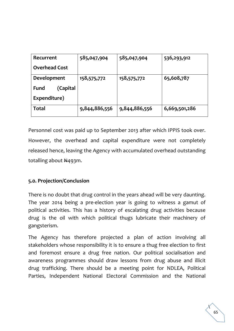| Recurrent               | 585,047,904   | 585,047,904   | 536,293,912   |
|-------------------------|---------------|---------------|---------------|
| <b>Overhead Cost</b>    |               |               |               |
| Development             | 158,575,772   | 158,575,772   | 65,608,787    |
| (Capital<br><b>Fund</b> |               |               |               |
| Expenditure)            |               |               |               |
| Total                   | 9,844,886,556 | 9,844,886,556 | 6,669,501,286 |

Personnel cost was paid up to September 2013 after which IPPIS took over. However, the overhead and capital expenditure were not completely released hence, leaving the Agency with accumulated overhead outstanding totalling about  $\frac{N}{4}$ 93m.

### **5.0. Projection/Conclusion**

There is no doubt that drug control in the years ahead will be very daunting. The year 2014 being a pre-election year is going to witness a gamut of political activities. This has a history of escalating drug activities because drug is the oil with which political thugs lubricate their machinery of gangsterism.

The Agency has therefore projected a plan of action involving all stakeholders whose responsibility it is to ensure a thug free election to first and foremost ensure a drug free nation. Our political socialisation and awareness programmes should draw lessons from drug abuse and illicit drug trafficking. There should be a meeting point for NDLEA, Political Parties, Independent National Electoral Commission and the National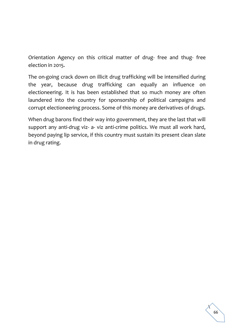Orientation Agency on this critical matter of drug- free and thug- free election in 2015.

The on-going crack down on illicit drug trafficking will be intensified during the year, because drug trafficking can equally an influence on electioneering. It is has been established that so much money are often laundered into the country for sponsorship of political campaigns and corrupt electioneering process. Some of this money are derivatives of drugs.

When drug barons find their way into government, they are the last that will support any anti-drug viz- a- viz anti-crime politics. We must all work hard, beyond paying lip service, if this country must sustain its present clean slate in drug rating.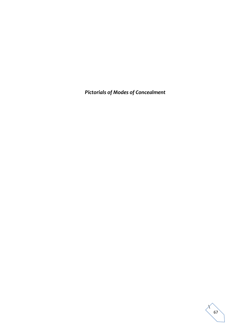*Pictorials of Modes of Concealment*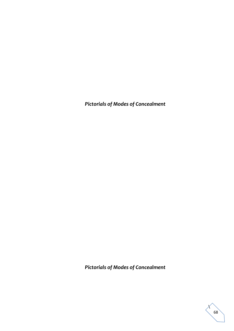*Pictorials of Modes of Concealment*

*Pictorials of Modes of Concealment*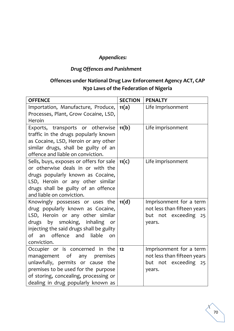## *Appendices:*

# *Drug Offences and Punishment*

# **Offences under National Drug Law Enforcement Agency ACT, CAP N30 Laws of the Federation of Nigeria**

| <b>OFFENCE</b>                                                                                                                                                                                                                                    | <b>SECTION</b> | <b>PENALTY</b>                                                                              |
|---------------------------------------------------------------------------------------------------------------------------------------------------------------------------------------------------------------------------------------------------|----------------|---------------------------------------------------------------------------------------------|
| Importation, Manufacture, Produce,<br>Processes, Plant, Grow Cocaine, LSD,<br>Heroin                                                                                                                                                              | 11(a)          | Life Imprisonment                                                                           |
| Exports, transports or otherwise<br>traffic in the drugs popularly known<br>as Cocaine, LSD, Heroin or any other<br>similar drugs, shall be guilty of an<br>offence and liable on conviction.                                                     | 11(b)          | Life imprisonment                                                                           |
| Sells, buys, exposes or offers for sale<br>or otherwise deals in or with the<br>drugs popularly known as Cocaine,<br>LSD, Heroin or any other similar<br>drugs shall be guilty of an offence<br>and liable on conviction.                         | 11(c)          | Life imprisonment                                                                           |
| Knowingly possesses or uses the<br>drug popularly known as Cocaine,<br>LSD, Heroin or any other similar<br>drugs by smoking, inhaling<br>or<br>injecting the said drugs shall be guilty<br>an offence<br>of<br>and<br>liable<br>on<br>conviction. | 11(d)          | Imprisonment for a term<br>not less than fifteen years<br>but not exceeding<br>25<br>years. |
| Occupier or is concerned in the<br>management of any premises<br>unlawfully, permits or cause the<br>premises to be used for the purpose<br>of storing, concealing, processing or<br>dealing in drug popularly known as                           | 12             | Imprisonment for a term<br>not less than fifteen years<br>but not exceeding<br>25<br>years. |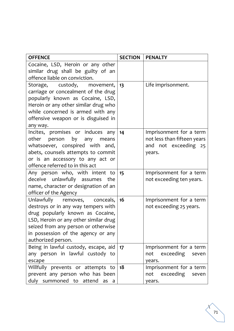| <b>OFFENCE</b>                                                                                                                                                                                                                                       | <b>SECTION</b> | <b>PENALTY</b>                                                                           |
|------------------------------------------------------------------------------------------------------------------------------------------------------------------------------------------------------------------------------------------------------|----------------|------------------------------------------------------------------------------------------|
| Cocaine, LSD, Heroin or any other<br>similar drug shall be guilty of an<br>offence liable on conviction.                                                                                                                                             |                |                                                                                          |
| Storage, custody, movement,<br>carriage or concealment of the drug<br>popularly known as Cocaine, LSD,<br>Heroin or any other similar drug who<br>while concerned is armed with any<br>offensive weapon or is disguised in<br>any way.               | 13             | Life imprisonment.                                                                       |
| Incites, promises or induces any<br>other person by<br>any<br>means<br>whatsoever, conspired with and,<br>abets, counsels attempts to commit<br>or is an accessory to any act or<br>offence referred to in this act                                  | 14             | Imprisonment for a term<br>not less than fifteen years<br>and not exceeding 25<br>years. |
| Any person who, with intent to<br>deceive unlawfully assumes the<br>name, character or designation of an<br>officer of the Agency                                                                                                                    | 15             | Imprisonment for a term<br>not exceeding ten years.                                      |
| Unlawfully removes, conceals,<br>destroys or in any way tempers with<br>drug popularly known as Cocaine,<br>LSD, Heroin or any other similar drug<br>seized from any person or otherwise<br>in possession of the agency or any<br>authorized person. | 16             | Imprisonment for a term<br>not exceeding 25 years.                                       |
| Being in lawful custody, escape, aid<br>any person in lawful custody to<br>escape                                                                                                                                                                    | 17             | Imprisonment for a term<br>exceeding<br>not<br>seven<br>years.                           |
| Willfully prevents or attempts to<br>prevent any person who has been<br>duly summoned to attend as a                                                                                                                                                 | 18             | Imprisonment for a term<br>not exceeding seven<br>years.                                 |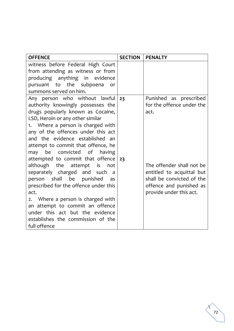| <b>OFFENCE</b>                                                                                                                                                                                                                                                                                                                                                                                                                                                                                                                                                                                                                                                                                                                                                                                               | <b>SECTION</b> | <b>PENALTY</b>                                                                                                                                                                                           |
|--------------------------------------------------------------------------------------------------------------------------------------------------------------------------------------------------------------------------------------------------------------------------------------------------------------------------------------------------------------------------------------------------------------------------------------------------------------------------------------------------------------------------------------------------------------------------------------------------------------------------------------------------------------------------------------------------------------------------------------------------------------------------------------------------------------|----------------|----------------------------------------------------------------------------------------------------------------------------------------------------------------------------------------------------------|
| witness before Federal High Court<br>from attending as witness or from<br>producing anything in evidence<br>pursuant to the subpoena<br>or<br>summons served on him.                                                                                                                                                                                                                                                                                                                                                                                                                                                                                                                                                                                                                                         |                |                                                                                                                                                                                                          |
| Any person who without lawful<br>authority knowingly possesses the<br>drugs popularly known as Cocaine,<br>LSD, Heroin or any other similar<br>1. Where a person is charged with<br>any of the offences under this act<br>and the evidence established an<br>attempt to commit that offence, he<br>may be convicted of<br>having<br>attempted to commit that offence<br>although the attempt<br>is is the set of the set of the set of the set of the set of the set of the set of the set of the set of the s<br>not<br>separately charged and such<br>a<br>person shall be punished<br>as<br>prescribed for the offence under this<br>act.<br>2. Where a person is charged with<br>an attempt to commit an offence<br>under this act but the evidence<br>establishes the commission of the<br>full offence | 23<br>23       | Punished as prescribed<br>for the offence under the<br>act.<br>The offender shall not be<br>entitled to acquittal but<br>shall be convicted of the<br>offence and punished as<br>provide under this act. |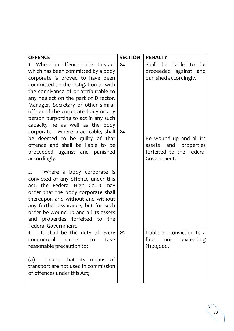| <b>OFFENCE</b>                                                                                                                                                                                                                                                                                                                                                                                                                                                                                                                                                                                                                           | <b>SECTION</b> | <b>PENALTY</b>                                                                                                                                                                  |
|------------------------------------------------------------------------------------------------------------------------------------------------------------------------------------------------------------------------------------------------------------------------------------------------------------------------------------------------------------------------------------------------------------------------------------------------------------------------------------------------------------------------------------------------------------------------------------------------------------------------------------------|----------------|---------------------------------------------------------------------------------------------------------------------------------------------------------------------------------|
| 1. Where an offence under this act<br>which has been committed by a body<br>corporate is proved to have been<br>committed on the instigation or with<br>the connivance of or attributable to<br>any neglect on the part of Director,<br>Manager, Secretary or other similar<br>officer of the corporate body or any<br>person purporting to act in any such<br>capacity he as well as the body<br>corporate. Where practicable, shall<br>be deemed to be guilty of that<br>offence and shall be liable to be<br>proceeded against and punished<br>accordingly.<br>Where a body corporate is<br>2.<br>convicted of any offence under this | 24<br>24       | liable to<br>Shall<br>be<br>be<br>proceeded against and<br>punished accordingly.<br>Be wound up and all its<br>assets and properties<br>forfeited to the Federal<br>Government. |
| act, the Federal High Court may<br>order that the body corporate shall<br>thereupon and without and without<br>any further assurance, but for such<br>order be wound up and all its assets<br>and properties forfeited to the<br>Federal Government.                                                                                                                                                                                                                                                                                                                                                                                     |                |                                                                                                                                                                                 |
| It shall be the duty of every<br>1.<br>commercial<br>carrier<br>take<br>to                                                                                                                                                                                                                                                                                                                                                                                                                                                                                                                                                               | 25             | Liable on conviction to a<br>fine<br>exceeding<br>not                                                                                                                           |
| reasonable precaution to:                                                                                                                                                                                                                                                                                                                                                                                                                                                                                                                                                                                                                |                | N <sub>100</sub> ,000.                                                                                                                                                          |
| (a)<br>that its means<br>0f<br>ensure<br>transport are not used in commission<br>of offences under this Act;                                                                                                                                                                                                                                                                                                                                                                                                                                                                                                                             |                |                                                                                                                                                                                 |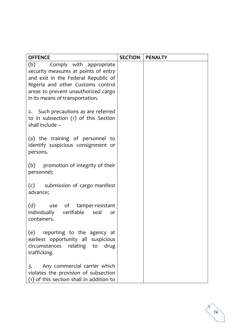| <b>OFFENCE</b>                                                                                                                                                                            | <b>SECTION</b> | <b>PENALTY</b> |
|-------------------------------------------------------------------------------------------------------------------------------------------------------------------------------------------|----------------|----------------|
| (b)<br>Comply with appropriate<br>security measures at points of entry<br>and exit in the Federal Republic of<br>Nigeria and other Customs control<br>areas to prevent unauthorized cargo |                |                |
| in its means of transportation.                                                                                                                                                           |                |                |
| 2. Such precautions as are referred<br>to in subsection (1) of this Section<br>shall include -                                                                                            |                |                |
| (a) the training of personnel to<br>identify suspicious consignment or<br>persons.                                                                                                        |                |                |
| (b) promotion of integrity of their<br>personnel;                                                                                                                                         |                |                |
| (c) submission of cargo manifest<br>advance;                                                                                                                                              |                |                |
| (d) use of tamper-resistant<br>individually verifiable seal<br>or<br>containers.                                                                                                          |                |                |
| (e)<br>reporting to the agency at<br>earliest opportunity all suspicious<br>circumstances relating to<br>drug<br>trafficking.                                                             |                |                |
| Any commercial carrier which<br>3.<br>violates the provision of subsection<br>(1) of this section shall in addition to                                                                    |                |                |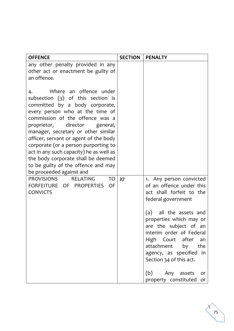| <b>OFFENCE</b>                                                                                                                                                                                                                                                                                                                                                                                                                                                                                                                                                                                              | <b>SECTION</b> | <b>PENALTY</b>                                                                                                                                                                                                                                                                                                                |
|-------------------------------------------------------------------------------------------------------------------------------------------------------------------------------------------------------------------------------------------------------------------------------------------------------------------------------------------------------------------------------------------------------------------------------------------------------------------------------------------------------------------------------------------------------------------------------------------------------------|----------------|-------------------------------------------------------------------------------------------------------------------------------------------------------------------------------------------------------------------------------------------------------------------------------------------------------------------------------|
| any other penalty provided in any<br>other act or enactment be guilty of<br>an offence.                                                                                                                                                                                                                                                                                                                                                                                                                                                                                                                     |                |                                                                                                                                                                                                                                                                                                                               |
| Where an offence under<br>4.<br>subsection $(3)$ of this section is<br>committed by a body corporate,<br>every person who at the time of<br>commission of the offence was a<br>proprietor,<br>director<br>general,<br>manager, secretary or other similar<br>officer, servant or agent of the body<br>corporate (or a person purporting to<br>act in any such capacity) he as well as<br>the body corporate shall be deemed<br>to be guilty of the offence and may<br>be proceeded against and<br><b>PROVISIONS</b><br><b>RELATING</b><br>TO<br>OF<br>FORFEITURE OF<br><b>PROPERTIES</b><br><b>CONVICTS</b> | 27             | 1. Any person convicted<br>of an offence under this<br>act shall forfeit to the<br>federal government<br>all the assets and<br>(a)<br>properties which may or<br>are the subject of an<br>interim order of Federal<br>High Court after<br>an<br>attachment<br>by<br>the<br>agency, as specified in<br>Section 34 of this act. |
|                                                                                                                                                                                                                                                                                                                                                                                                                                                                                                                                                                                                             |                | (b)<br>Any assets<br>or<br>property constituted<br>or                                                                                                                                                                                                                                                                         |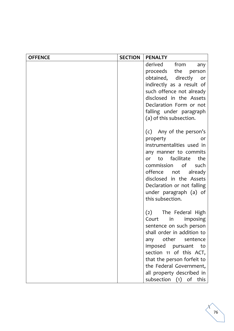| <b>OFFENCE</b> | <b>SECTION</b> | <b>PENALTY</b>                                                                                                                                                                                                                                                                                            |
|----------------|----------------|-----------------------------------------------------------------------------------------------------------------------------------------------------------------------------------------------------------------------------------------------------------------------------------------------------------|
|                |                | derived<br>from<br>any<br>proceeds the<br>person<br>obtained, directly<br>or<br>indirectly as a result of<br>such offence not already<br>disclosed in the Assets<br>Declaration Form or not<br>falling under paragraph<br>(a) of this subsection.                                                         |
|                |                | (c) Any of the person's<br>property<br>or<br>instrumentalities used in<br>any manner to commits<br>or to facilitate<br>the<br>commission of<br>such<br>offence not<br>already<br>disclosed in the Assets<br>Declaration or not falling<br>under paragraph (a) of<br>this subsection.                      |
|                |                | (2) The Federal High<br>in<br>imposing<br>Court<br>sentence on such person<br>shall order in addition to<br>any other<br>sentence<br>imposed pursuant<br>to<br>section 11 of this ACT,<br>that the person forfeit to<br>the Federal Government,<br>all property described in<br>subsection (1) of<br>this |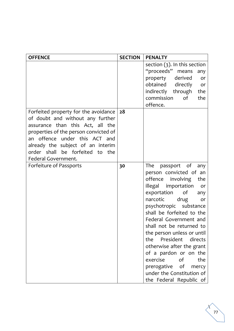| <b>OFFENCE</b>                                                                                                                                                                                                                                                                           | <b>SECTION</b> | <b>PENALTY</b>                                                                                                                                                                                                                                                                                                                                                                                                                                                                                                    |
|------------------------------------------------------------------------------------------------------------------------------------------------------------------------------------------------------------------------------------------------------------------------------------------|----------------|-------------------------------------------------------------------------------------------------------------------------------------------------------------------------------------------------------------------------------------------------------------------------------------------------------------------------------------------------------------------------------------------------------------------------------------------------------------------------------------------------------------------|
|                                                                                                                                                                                                                                                                                          |                | section $(3)$ . In this section<br>"proceeds" means<br>any<br>property derived<br>or<br>obtained directly<br>or<br>indirectly through<br>the<br>commission<br>of<br>the<br>offence.                                                                                                                                                                                                                                                                                                                               |
| Forfeited property for the avoidance<br>of doubt and without any further<br>assurance than this Act, all the<br>properties of the person convicted of<br>an offence<br>under this ACT and<br>already the subject of an interim<br>order shall be forfeited to the<br>Federal Government. | 28             |                                                                                                                                                                                                                                                                                                                                                                                                                                                                                                                   |
| Forfeiture of Passports                                                                                                                                                                                                                                                                  | 30             | The<br>passport of<br>any<br>person convicted of an<br>offence<br>involving<br>the<br>illegal importation<br>or<br>exportation<br>of<br>any<br>narcotic<br>drug<br>or<br>psychotropic substance<br>shall be forfeited to the<br>Federal Government and<br>shall not be returned to<br>the person unless or until<br>the<br>President<br>directs<br>otherwise after the grant<br>of a pardon or on the<br>of<br>exercise<br>the<br>prerogative of<br>mercy<br>under the Constitution of<br>the Federal Republic of |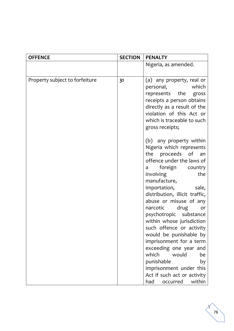| <b>OFFENCE</b>                 | <b>SECTION</b> | <b>PENALTY</b>                                                                                                                                                                                                                                                                                                                                                                                                                                                                                                                                                                                                                                                                                                                              |
|--------------------------------|----------------|---------------------------------------------------------------------------------------------------------------------------------------------------------------------------------------------------------------------------------------------------------------------------------------------------------------------------------------------------------------------------------------------------------------------------------------------------------------------------------------------------------------------------------------------------------------------------------------------------------------------------------------------------------------------------------------------------------------------------------------------|
|                                |                | Nigeria, as amended.                                                                                                                                                                                                                                                                                                                                                                                                                                                                                                                                                                                                                                                                                                                        |
|                                |                |                                                                                                                                                                                                                                                                                                                                                                                                                                                                                                                                                                                                                                                                                                                                             |
| Property subject to forfeiture | 31             | (a) any property, real or<br>personal, which<br>represents the gross<br>receipts a person obtains<br>directly as a result of the<br>violation of this Act or<br>which is traceable to such<br>gross receipts;<br>(b) any property within<br>Nigeria which represents<br>the proceeds of an<br>offence under the laws of<br>foreign country<br>a<br>the<br>involving<br>manufacture,<br>importation,<br>sale,<br>distribution, illicit traffic,<br>abuse or misuse of any<br>narcotic<br>drug<br>or<br>psychotropic substance<br>within whose jurisdiction<br>such offence or activity<br>would be punishable by<br>imprisonment for a term<br>exceeding one year and<br>which<br>would<br>be<br>punishable<br>by<br>imprisonment under this |
|                                |                |                                                                                                                                                                                                                                                                                                                                                                                                                                                                                                                                                                                                                                                                                                                                             |
|                                |                | Act if such act or activity<br>had<br>within<br>occurred                                                                                                                                                                                                                                                                                                                                                                                                                                                                                                                                                                                                                                                                                    |

 $\Delta$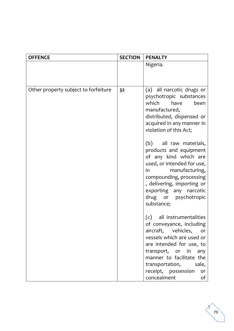| <b>OFFENCE</b>                       | <b>SECTION</b> | <b>PENALTY</b>                                                                                                                                                                                                                                                                                                                                                                                                                                                           |
|--------------------------------------|----------------|--------------------------------------------------------------------------------------------------------------------------------------------------------------------------------------------------------------------------------------------------------------------------------------------------------------------------------------------------------------------------------------------------------------------------------------------------------------------------|
|                                      |                | Nigeria.                                                                                                                                                                                                                                                                                                                                                                                                                                                                 |
|                                      |                |                                                                                                                                                                                                                                                                                                                                                                                                                                                                          |
|                                      |                |                                                                                                                                                                                                                                                                                                                                                                                                                                                                          |
| Other property subject to forfeiture | 32             | (a) all narcotic drugs or<br>psychotropic substances<br>which have<br>been<br>manufactured,<br>distributed, dispensed or<br>acquired in any manner in<br>violation of this Act;<br>(b) all raw materials,<br>products and equipment<br>of any kind which are<br>used, or intended for use,<br>manufacturing,<br>$\mathsf{in}$ and $\mathsf{in}$<br>compounding, processing<br>, delivering, importing or<br>exporting any narcotic<br>drug or psychotropic<br>substance; |
|                                      |                | all instrumentalities<br>(c)<br>of conveyance, including<br>aircraft, vehicles,<br>or or<br>vessels which are used or<br>are intended for use, to<br>transport, or in any<br>manner to facilitate the<br>transportation, sale,<br>receipt, possession<br>or<br>concealment<br>of                                                                                                                                                                                         |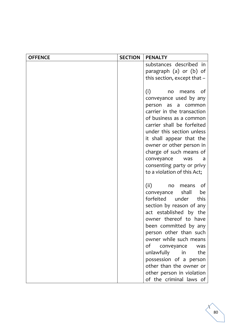| <b>OFFENCE</b> | <b>SECTION</b> | <b>PENALTY</b>                                          |
|----------------|----------------|---------------------------------------------------------|
|                |                | substances described in                                 |
|                |                | paragraph (a) or (b) of                                 |
|                |                | this section, except that $-$                           |
|                |                |                                                         |
|                |                | (i)<br>_of<br>no<br>means                               |
|                |                | conveyance used by any                                  |
|                |                | person<br>as<br>$\mathsf{a}$<br>common                  |
|                |                | carrier in the transaction                              |
|                |                | of business as a common                                 |
|                |                | carrier shall be forfeited<br>under this section unless |
|                |                | it shall appear that the                                |
|                |                | owner or other person in                                |
|                |                | charge of such means of                                 |
|                |                | conveyance<br>was                                       |
|                |                | consenting party or privy                               |
|                |                | to a violation of this Act;                             |
|                |                |                                                         |
|                |                | (ii)<br>of<br>no<br>means                               |
|                |                | shall<br>be<br>conveyance                               |
|                |                | forfeited<br>under<br>this                              |
|                |                | section by reason of any                                |
|                |                | act established by the                                  |
|                |                | owner thereof to have                                   |
|                |                | been committed by any                                   |
|                |                | person other than such<br>owner while such means        |
|                |                | of conveyance<br>was                                    |
|                |                | unlawfully in<br>the                                    |
|                |                | possession of a person                                  |
|                |                | other than the owner or                                 |
|                |                | other person in violation                               |
|                |                | of the criminal laws of                                 |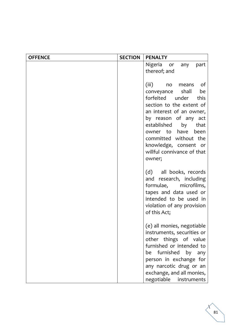| <b>OFFENCE</b> | <b>SECTION</b> | <b>PENALTY</b>                                                                                                                                                                                                                                                                                                     |
|----------------|----------------|--------------------------------------------------------------------------------------------------------------------------------------------------------------------------------------------------------------------------------------------------------------------------------------------------------------------|
|                |                | Nigeria or<br>any<br>part                                                                                                                                                                                                                                                                                          |
|                |                | thereof; and                                                                                                                                                                                                                                                                                                       |
|                |                | (iii)<br>of<br>no<br>means<br>shall<br>be<br>conveyance<br>forfeited under<br>this<br>section to the extent of<br>an interest of an owner,<br>by reason of any act<br>established<br>by<br>that<br>owner to have<br>been<br>committed without the<br>knowledge, consent or<br>willful connivance of that<br>owner; |
|                |                | (d) all books, records<br>and research, including<br>formulae, microfilms,<br>tapes and data used or<br>intended to be used in<br>violation of any provision<br>of this Act;                                                                                                                                       |
|                |                | (e) all monies, negotiable<br>instruments, securities or<br>other things of value<br>furnished or intended to<br>be furnished by any<br>person in exchange for<br>any narcotic drug or an<br>exchange, and all monies,<br>negotiable<br>instruments                                                                |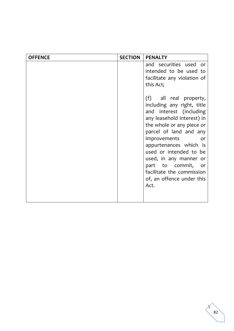| <b>SECTION</b> | <b>PENALTY</b>                                                                                                                                                                                                                                                                                                                                                                                        |
|----------------|-------------------------------------------------------------------------------------------------------------------------------------------------------------------------------------------------------------------------------------------------------------------------------------------------------------------------------------------------------------------------------------------------------|
|                | and securities used or<br>intended to be used to<br>facilitate any violation of<br>this Act;<br>(f) all real property,<br>including any right, title<br>and interest (including<br>any leasehold interest) in<br>the whole or any piece or<br>parcel of land and any<br><i>improvements</i><br>or<br>appurtenances which is<br>used or intended to be<br>used, in any manner or<br>part to commit, or |
|                | facilitate the commission<br>of, an offence under this<br>Act.                                                                                                                                                                                                                                                                                                                                        |
|                |                                                                                                                                                                                                                                                                                                                                                                                                       |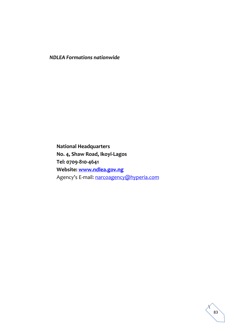*NDLEA Formations nationwide*

**National Headquarters No. 4, Shaw Road, Ikoyi-Lagos Tel: 0709-810-4641 Website: [www.ndlea.gov.ng](http://www.ndlea.gov.ng/)** Agency's E-mail: [narcoagency@hyperia.com](mailto:narcoagency@hyperia.com)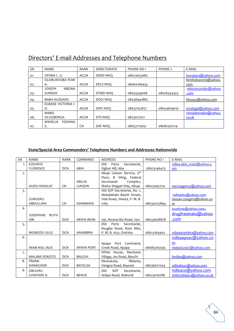| <b>SN</b> | <b>NAME</b>                     | <b>RANK</b> | <b>DIRECTORATE</b> | PHONE NO <sub>1</sub> | PHONE <sub>2</sub> | E-MAIL              |
|-----------|---------------------------------|-------------|--------------------|-----------------------|--------------------|---------------------|
| 01.       | OPARA L.U.                      | ACGN        | DDRD NHO           | 08023053682           |                    | lawopara@yahoo.com  |
|           | OLORUNTOBA FEMI                 |             |                    |                       |                    | femitoba2005@yahoo. |
| 02.       | А.                              | ACGN        | DPLS NHQ           | 08060166455           |                    | com                 |
|           | <b>JOSEPH</b><br><b>NBONA</b>   |             |                    |                       |                    | mbonasunday@yahoo   |
| 03.       | SUNDAY                          | <b>ACGN</b> | DTMD NHO           | 08033339168           | 08026354353        | .com                |
| 04.       | <b>BABA HUSSAINI</b>            | <b>ACGN</b> | DOGI NHQ           | 08038941885           |                    | bhusyu@yahoo.com    |
|           | EGBASE VICTORIA I.              |             |                    |                       |                    |                     |
| 05.       | Ο.                              | <b>ACGN</b> | <b>DAFINHO</b>     | 08037152827           | 08054609031        | onolegal@yahoo.com  |
|           | <b>MABO</b>                     |             |                    |                       |                    | remadetmabo@yahoo.  |
| 06.       | OLUGBENGA.                      | <b>ACGN</b> | DTS NHO            | 0823027071            |                    | co.uk               |
|           | <b>MSHELIA</b><br><b>YOHANA</b> |             |                    |                       |                    |                     |
| 07.       | S.                              | CN          | <b>DAF NHO</b>     | 08057715051           | 08082501214        |                     |

## Directors' E-mail Addresses and Telephone Numbers

## **State/Special Area Commanders' Telephone Numbers and Addresses Nationwide**

| <b>SN</b> | <b>NAMF</b>          | <b>RANK</b> | COMMAND           | <b>ADDRESS</b>                         | PHONE NO <sub>1</sub> | F-MAII                    |
|-----------|----------------------|-------------|-------------------|----------------------------------------|-----------------------|---------------------------|
| 1.        | <b>EZEONYE</b>       |             |                   | Old<br>Party<br>Secretariat,           |                       | ndlea.abia state@yahoo.c  |
|           | <b>FLORENCE</b>      | <b>DCN</b>  | ABIA              | Ogbor Hill, Aba                        | 08023196475           | om                        |
| 2.        |                      |             |                   | Abuja Liaison Service, 5 <sup>th</sup> |                       |                           |
|           |                      |             |                   | Floor, B Wing, Federal                 |                       |                           |
|           |                      |             | <b>ABUJA</b>      | Complex,<br>Secretariat                |                       |                           |
|           | <b>AUDU WASILAT</b>  | <b>CN</b>   | <b>LIAISON</b>    | Shehu Shagari Way, Abuja               | 08023091774           | narcoagency@yahoo.com     |
| 3.        |                      |             |                   | Old SDP Secretariat, No. 1,            |                       |                           |
|           |                      |             |                   | Abdullahahi Bashir Street,             |                       | ndleadsc@yahoo.com        |
|           | ZUNGERU              |             |                   | Yola Road, Jimeta, P. M. B.            |                       | hassan.zungeru@yahoo.co   |
|           | <b>ABDULLAHI</b>     | <b>CN</b>   | ADAMAWA           | 2165                                   | 08035075894           | m                         |
| 4.        |                      |             |                   |                                        |                       | jocefyne@yahoo.com,       |
|           | JOSEPHINE RUTH       |             |                   |                                        |                       | drugfreeinaks@yahoo       |
|           | OBI                  | <b>DCN</b>  | AKWA IBOM         | 291, Nwana-iba Road, Uyo               | 08033658878           | .com                      |
| 5.        |                      |             |                   | Old<br>Party Secretariat,              |                       |                           |
|           |                      |             |                   | Nsugbe Road, Rans Nkis,                |                       |                           |
|           | <b>MOMODU SULE</b>   | <b>DCN</b>  | ANAMBRA           | P. M. B. 1631, Onitsha                 | 08023164402           | ndleaanambra@yahoo.com    |
| 6.        |                      |             |                   |                                        |                       | ndleaapsac@yahoo.co       |
|           |                      |             |                   | Apapa Port Command,                    |                       | m                         |
|           | <b>INAM NSE JACK</b> | <b>DCN</b>  | <b>APAPA PORT</b> | Creek Road, Apapa                      | 08083265595           | nsejack2007@yahoo.com     |
| 7.        |                      |             |                   | White House, Mechanic                  |                       |                           |
|           | <b>MALAMI SOKOTO</b> | <b>DCN</b>  | <b>BAUCHI</b>     | Village, Jos Road, Bauchi              |                       | bndlea@yahoo.com          |
| 8.        | <b>FRANK</b>         |             |                   | Okutukuta,<br>Nbiama,                  |                       |                           |
|           | <b>HANACHOR</b>      | <b>DCN</b>  | <b>BAYELSA</b>    | Yengoa Road, Bayesla                   | 08036671704           | ndleabysc@yahoo.com       |
| 9.        | <b>OBIJURU</b>       |             |                   | Old<br><b>SDP</b><br>Secretariat,      |                       | ndlea20@yahoo.com         |
|           | CHINYERE H.          | <b>DCN</b>  | <b>BENUE</b>      | Ankpa Road, Makurdi                    | 08023016786           | chitimobijuru@yahoo.co.uk |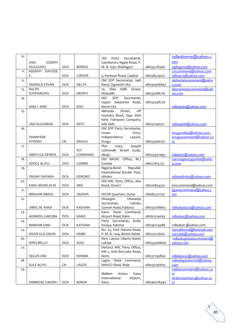| 10. |                        |            |                | Secretariat,<br>Old<br>Party   |             | ndleaborno@yahoo.c      |
|-----|------------------------|------------|----------------|--------------------------------|-------------|-------------------------|
|     | ONA<br><b>JOSEPH</b>   |            |                | Gambororu Ngala Road, P.       |             | om                      |
|     | OGILEGWU               | <b>DCN</b> | <b>BORNO</b>   | M. B. 1591, Maiduguri          | 08033218346 | ogilegwus@yahoo.com     |
| 11. | KAYODE<br>ADENIYI      |            |                |                                |             | crscommand@yahoo.com    |
|     | Ε.                     | <b>DCN</b> | C/RIVER        | 3, Harbour Road, Calabar       | 08038574051 | ndleacrs@yahoo.com      |
| 12. |                        |            |                | Old SDP Secretariat, Isah      |             | deltastatecommand@yaho  |
|     | SAMAILA ETHAN          | <b>DCN</b> | DELTA          | Raod, Ogwashi-Uku              | 08030906892 | o.com                   |
| 13. | <b>RALPH</b>           |            |                | 10, Elias Odili Street,        |             | ebonyistatecommand@yah  |
|     | IGWENAGWU              | <b>DCN</b> | <b>EBONYI</b>  | Abakaliki                      | 08033086716 | oo.com                  |
| 14. |                        |            |                | Old<br>SDP<br>Secretariat,     |             |                         |
|     |                        |            |                | Upper Sakponba Road,           | 08033248776 |                         |
|     | SANI I. SANI           | <b>DCN</b> | <b>EDO</b>     | Benin-City                     |             | ndleaedo@yahoo.com      |
| 15. |                        |            |                | off<br>Street,<br>Akinsola     |             |                         |
|     |                        |            |                | Iworoko Road, Opp. Ekiti       |             |                         |
|     |                        |            |                | Kete Transport Company,        |             |                         |
|     | <b>JADI SULEIMAN</b>   | <b>DCN</b> | <b>EKITI</b>   | Ado Ekiti                      | 08037090511 | ndleaekiti@yahoo.com    |
| 16. |                        |            |                | Old SDP Party Secretariat,     |             |                         |
|     |                        |            |                | Vosan<br>Drive,                |             | enugundlea@yahoo.com,   |
|     | <b>OHANYERE</b>        |            |                | Independence<br>Layout,        |             | enugucommand@yahoo.co   |
|     | <b>ATHONY</b>          | <b>CN</b>  | <b>ENUGU</b>   | Enugu                          | 08033466150 | m                       |
|     |                        |            |                | Plot<br>Joseph<br>1093,        |             |                         |
| 17. |                        |            | <b>FCT</b>     | Golmwalk Street Gudu,          |             |                         |
|     |                        |            |                |                                |             | ndleafct@yahoo.com      |
| 18. | <b>OBIEFULE DENNIS</b> | <b>DCN</b> | COMMAND        | Abuja<br>Old BASAC Office, BCJ | 08053937993 |                         |
|     | ADOLE ALIYU.           | <b>DCN</b> | <b>GOMBE</b>   | Gombe                          |             | narcoagencygombe@yaho   |
|     |                        |            |                | Nigeria-Benin<br>Republic      | 08027815232 | o.com                   |
| 19. |                        |            |                |                                |             |                         |
|     |                        |            |                | International Border Post,     |             |                         |
|     | FRIDAY OKPARA          | <b>DCN</b> | <b>IDIROKO</b> | Idiroko                        |             | ndleaidiroko@yahoo.com  |
| 20. |                        |            |                | Old NRC Party Office, Aba      |             |                         |
|     | KAKU MSHELIA M         | <b>DCN</b> | <b>IMO</b>     | Road, Owerri                   | 08026854501 | imocommand@yahoo.com    |
| 21. |                        |            |                |                                |             | jigawacommand@yahoo.c   |
|     | <b>IBRAHIM ABDUL</b>   | <b>DCN</b> | <b>JIGAWA</b>  | NIFOR Quarters, Dutse          | 08085237797 | om                      |
| 22. |                        |            |                | Olusegun<br>Obasanjo           |             |                         |
|     |                        |            |                | Yakubu<br>Secretariat,         |             |                         |
|     | JIBRIL M. KAKA         | <b>DCN</b> | <b>KADUNA</b>  | Gowon Road, Kaduna             | 08033208663 | ndleakaduna@yahoo.com   |
| 23. |                        |            |                | State Command,<br>Kano         |             |                         |
|     | AHMADU GARUBA          | <b>DCN</b> | KANO           | Airport Road, Kano             | 08061524093 | ndleaksc@yahoo.com      |
| 24. |                        |            |                | Party Secretariat, Kofar       |             |                         |
|     | <b>MARIAM SANI</b>     | <b>DCN</b> | <b>KATSINA</b> | Kwaya, Katsina                 | 08036124588 | ndleakat @yahoo.com     |
| 25. |                        |            |                | No. 25, Emir Haruna Road,      |             | narcokbcmd@hotmail.com  |
|     | OKON ULO OKON          | <b>DCN</b> | KEBBI          | P. M. B. 1104, Birinin Kebbi   | 08023127660 | narcokb@yahoo.com       |
| 26. |                        |            |                | New Layout Liberty Hotel,      |             | ndleakogistatecommand@  |
|     | <b>IDRIS BELLO</b>     | <b>DCN</b> | KOGI           | Lokoja                         | 08033306809 | yahoo.com               |
| 27. |                        |            |                | Defunct NRC Party Office,      |             |                         |
|     |                        |            |                | KM 2, Sobi Barrcaks Road,      |             |                         |
|     | <b>SEGUN OKE</b>       | <b>DCN</b> | <b>KWARA</b>   | Ilorin                         | 08037236856 | ndleakwsc@yahoo.com     |
| 28. |                        |            |                | Lagos State Command,           |             | ndlealagstatecmd@vahoo. |
|     | <b>SULE ALIYU</b>      | <b>CN</b>  | LAGOS          | NAHCO Shed, Ikeja              | 08033236665 | com                     |
| 29. |                        |            |                |                                |             | makiacommand@yahoo.co   |
|     |                        |            |                | Mallam<br>Aminu<br>Kano        |             | m                       |
|     |                        |            |                | International<br>Airport,      |             | ambroseumoru@yahoo.co   |
|     | AMBROSE UMORU          | <b>DCN</b> | MAKIA          | Kano                           | 08036078944 | m                       |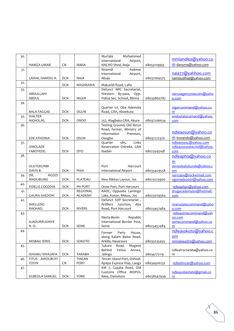| 30. |                                 |            |                | Mohammed<br>Murtala                             |             |                                  |
|-----|---------------------------------|------------|----------------|-------------------------------------------------|-------------|----------------------------------|
|     |                                 |            |                | International<br>Airport,                       |             | mmiandlea@yahoo.co               |
|     | <b>HAMZA UMAR</b>               | CN         | <b>MMIA</b>    | NACHO Shed, Ikeja                               | 08053119955 | m danuma@yahoo.com               |
| 31. |                                 |            |                | Azikiwe<br>Nnamdi                               |             | naia77@yahhoo.com                |
|     | LAWAL HAMISU A.                 | <b>DCN</b> | <b>NAIA</b>    | International<br>Airport,                       |             | hamisualhaji@yahoo.com           |
| 32. |                                 |            |                | Abuja                                           | 08037269575 |                                  |
|     |                                 | <b>DCN</b> | NASARAWA       | Makuridi Road, Lafia                            |             |                                  |
| 33. |                                 |            |                | Defunct NRC Secretariat,                        |             |                                  |
|     | ABDULLAHI                       |            |                | Western By-pass, Opp.                           |             | narcoagencynascom@yaho           |
|     | <b>ABDUL</b>                    | <b>DCN</b> | NIGER          | Police Sec. School, Minna                       | 08035860787 | o.com                            |
| 34. |                                 |            |                |                                                 |             |                                  |
|     | <b>BALA FAGGAE</b>              | <b>DCN</b> | <b>OGUN</b>    | Quarter 07, Oba Ademola<br>Road, GRA, Aboekuta  |             | nigercommand@yahoo.co<br>m       |
| 35. | <b>WALTER</b>                   |            |                |                                                 |             | ondostatecomand@yahoo.           |
|     | NICHOLAS.                       | <b>DCN</b> | <b>ONDO</b>    | 257, Alagbaka GRA, Akure                        | 08037206634 | com                              |
| 36. |                                 |            |                | Testing Ground, Old Ikirun                      |             |                                  |
|     |                                 |            |                | Road, former, Ministry of                       |             |                                  |
|     |                                 |            |                | Information<br>Premises,                        |             | ndleaosun@yahoo.co               |
|     | <b>EDE ATHONIA</b>              | DCN        | <b>OSUN</b>    | Osogbo                                          | 08037272370 | m tnwando@yahoo.com              |
| 37. |                                 |            |                | 585,<br>Links<br>Quarter                        |             | ndleaoyosc@yahoo.com             |
|     | <b>OMOLADE</b>                  |            |                | Reservation Onireke, GRA                        |             | ndleaoyostatecmd@yahoo.          |
| 38. | FABOYEDE.                       | <b>DCN</b> | <b>OYO</b>     | Ibadan                                          | 08023543148 | com                              |
|     |                                 |            |                |                                                 |             | ndleaphia@yahoo.co               |
|     |                                 |            |                |                                                 |             | m                                |
|     | OLUTEKUNBI                      |            |                | Port<br>Harcourt                                |             | daviesbabatunde@yahoo.c          |
|     | DAVIS B.<br><b>NGOZI</b><br>DR. | <b>DCN</b> | PHIA           | International Airport                           | 08033429558 | om<br>narcojos@rocketmail.com    |
| 39. | MADUBUIKE                       | <b>DCN</b> | PLATEAU        | New Rikkos Layout, Jos                          | 08023223900 | ngomadu2001@yahoo.com            |
| 40. |                                 |            |                |                                                 |             |                                  |
|     | <b>FIDELIS COCODIA</b>          | <b>DCN</b> | PH PORT        | Onne Port, Port Harcourt                        |             | ndleaphpc@yahoo.com              |
| 41. |                                 |            | REGIONAL       | RADC, Opposite Lamingo                          |             | drugacademyjos@hotmail.          |
|     | <b>GAURA SHEDOW</b>             | <b>DCN</b> | <b>ACADEMY</b> | Lake, Katon, Rikkos, Jos                        | 08023079564 | com                              |
| 42. |                                 |            |                | Defunct SDP Secretariat,<br>Artillery Junction, |             |                                  |
|     | SHELLENG<br>RACHAEL             | <b>DCN</b> | <b>RIVERS</b>  | Aba<br>Road, Port Harcourt                      | 08023457484 | riversstatecommand@yaho<br>o.com |
| 43. |                                 |            |                |                                                 |             | ndleasemecommand@yah             |
|     |                                 |            |                | Nieria-Benin<br>Republic                        |             | oo.com                           |
|     | <b>AJADURRUONYE</b>             |            |                | International Border Post,                      |             | semecommand@yahoo.co             |
|     | N.O.                            | <b>DCN</b> | <b>SEME</b>    | Seme                                            | 08023457484 | m                                |
| 44. |                                 |            |                | Party<br>House,<br>Former                       |             | ndleasokoto@yahoo.c              |
|     |                                 |            |                | along Kalam Baina Road,                         |             | om                               |
|     | MISBAU IDRIS                    | <b>DCN</b> | SOKOTO         | Arkilla, Nasarawa                               | 08033235455 | mmisbauidris@yahoo.com           |
| 45. |                                 |            |                | Road,<br>Magami<br>Tukura                       |             |                                  |
|     |                                 |            |                | Behind<br>Yelwa<br>Annex,                       |             | ndleatrsctaraba@yahoo.co         |
|     | <b>ISHIAKU KWAJAFA</b>          | <b>DCN</b> | TARABA         | Jalingo                                         | 08034172119 | m                                |
| 46. | TITUS AWOGBUYI                  |            | TINCAN         | Tincan Island Port, Oshodi-                     |             |                                  |
|     | <b>TOYIN</b>                    | <b>CN</b>  | <b>PORT</b>    | Apapa Express Way, Laogs                        | 08034926232 | ndleatincan@yahoo.com            |
| 47. |                                 |            |                | KM 7, Gujuba Road, Old<br>Customs Office MOPOL  |             |                                  |
|     | <b>EGBEOLA SAMUEL</b>           | <b>DCN</b> | YOBE           | Base, Damaturu                                  | 08038547939 | ndleayobestate@gmail.co<br>m     |
|     |                                 |            |                |                                                 |             |                                  |